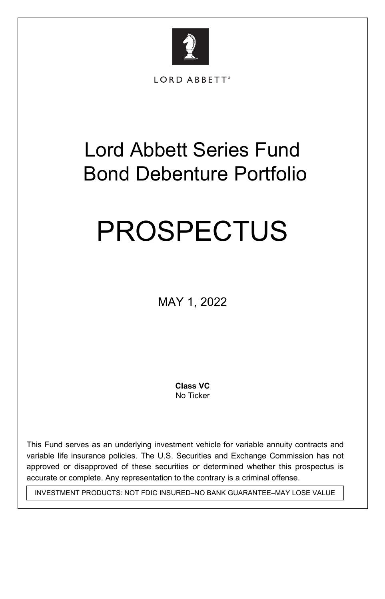

LORD ABBETT®

# Lord Abbett Series Fund Bond Debenture Portfolio

# PROSPECTUS

MAY 1, 2022

 **Class VC**  No Ticker

This Fund serves as an underlying investment vehicle for variable annuity contracts and variable life insurance policies. The U.S. Securities and Exchange Commission has not approved or disapproved of these securities or determined whether this prospectus is accurate or complete. Any representation to the contrary is a criminal offense.

INVESTMENT PRODUCTS: NOT FDIC INSURED–NO BANK GUARANTEE–MAY LOSE VALUE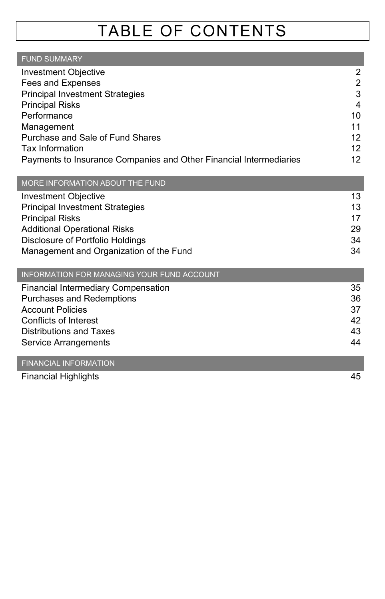# TABLE OF CONTENTS

| <b>FUND SUMMARY</b>                                                |    |
|--------------------------------------------------------------------|----|
| <b>Investment Objective</b>                                        | 2  |
| Fees and Expenses                                                  | 2  |
| <b>Principal Investment Strategies</b>                             | 3  |
| <b>Principal Risks</b>                                             | 4  |
| Performance                                                        | 10 |
| Management                                                         | 11 |
| Purchase and Sale of Fund Shares                                   | 12 |
| Tax Information                                                    | 12 |
| Payments to Insurance Companies and Other Financial Intermediaries | 12 |

#### MORE INFORMATION ABOUT THE FUND

| Investment Objective                    | 13 |
|-----------------------------------------|----|
| <b>Principal Investment Strategies</b>  | 13 |
| <b>Principal Risks</b>                  | 17 |
| <b>Additional Operational Risks</b>     | 29 |
| Disclosure of Portfolio Holdings        | 34 |
| Management and Organization of the Fund | 34 |
|                                         |    |

| INFORMATION FOR MANAGING YOUR FUND ACCOUNT |    |
|--------------------------------------------|----|
| Financial Intermediary Compensation        | 35 |
| Purchases and Redemptions                  | 36 |
| <b>Account Policies</b>                    | 37 |
| Conflicts of Interest                      | 42 |
| Distributions and Taxes                    | 43 |
| Service Arrangements                       | 44 |

#### FINANCIAL INFORMATION

Financial Highlights 45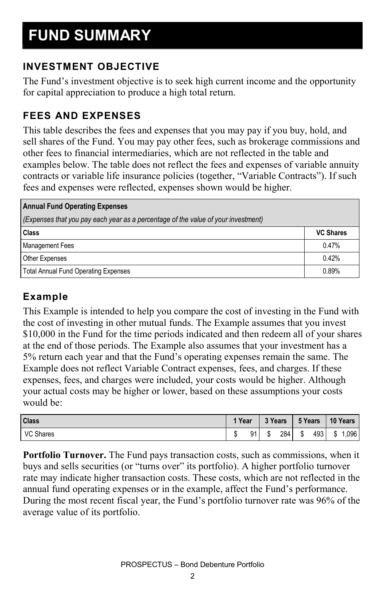#### **INVESTMENT OBJECTIVE**

The Fund's investment objective is to seek high current income and the opportunity for capital appreciation to produce a high total return.

#### **FEES AND EXPENSES**

This table describes the fees and expenses that you may pay if you buy, hold, and sell shares of the Fund. You may pay other fees, such as brokerage commissions and other fees to financial intermediaries, which are not reflected in the table and examples below. The table does not reflect the fees and expenses of variable annuity contracts or variable life insurance policies (together, "Variable Contracts"). If such fees and expenses were reflected, expenses shown would be higher.

#### **Annual Fund Operating Expenses**

| (Expenses that you pay each year as a percentage of the value of your investment) |                  |  |  |  |  |
|-----------------------------------------------------------------------------------|------------------|--|--|--|--|
| Class                                                                             | <b>VC Shares</b> |  |  |  |  |
| <b>Management Fees</b>                                                            | 0.47%            |  |  |  |  |
| <b>Other Expenses</b>                                                             | 0.42%            |  |  |  |  |
| <b>Total Annual Fund Operating Expenses</b>                                       | 0.89%            |  |  |  |  |

#### **Example**

This Example is intended to help you compare the cost of investing in the Fund with the cost of investing in other mutual funds. The Example assumes that you invest \$10,000 in the Fund for the time periods indicated and then redeem all of your shares at the end of those periods. The Example also assumes that your investment has a 5% return each year and that the Fund's operating expenses remain the same. The Example does not reflect Variable Contract expenses, fees, and charges. If these expenses, fees, and charges were included, your costs would be higher. Although your actual costs may be higher or lower, based on these assumptions your costs would be:

| <b>Class</b>     | 1 Year |    | 3 Years |     | 5 Years |     | 10 Years |                   |
|------------------|--------|----|---------|-----|---------|-----|----------|-------------------|
| <b>VC Shares</b> |        | 91 | ۰IJ     | 284 | œ<br>Æ  | 493 | \$       | .096 <sub>1</sub> |

**Portfolio Turnover.** The Fund pays transaction costs, such as commissions, when it buys and sells securities (or "turns over" its portfolio). A higher portfolio turnover rate may indicate higher transaction costs. These costs, which are not reflected in the annual fund operating expenses or in the example, affect the Fund's performance. During the most recent fiscal year, the Fund's portfolio turnover rate was 96% of the average value of its portfolio.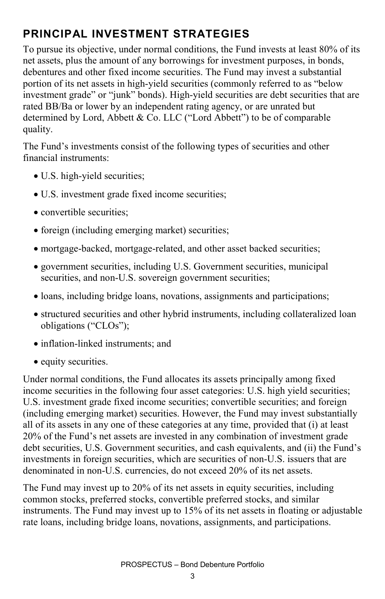# **PRINCIPAL INVESTMENT STRATEGIES**

To pursue its objective, under normal conditions, the Fund invests at least 80% of its net assets, plus the amount of any borrowings for investment purposes, in bonds, debentures and other fixed income securities. The Fund may invest a substantial portion of its net assets in high-yield securities (commonly referred to as "below investment grade" or "junk" bonds). High-yield securities are debt securities that are rated BB/Ba or lower by an independent rating agency, or are unrated but determined by Lord, Abbett & Co. LLC ("Lord Abbett") to be of comparable quality.

The Fund's investments consist of the following types of securities and other financial instruments:

- U.S. high-yield securities;
- U.S. investment grade fixed income securities;
- convertible securities;
- foreign (including emerging market) securities;
- mortgage-backed, mortgage-related, and other asset backed securities;
- government securities, including U.S. Government securities, municipal securities, and non-U.S. sovereign government securities;
- loans, including bridge loans, novations, assignments and participations;
- structured securities and other hybrid instruments, including collateralized loan obligations ("CLOs");
- inflation-linked instruments; and
- equity securities.

Under normal conditions, the Fund allocates its assets principally among fixed income securities in the following four asset categories: U.S. high yield securities; U.S. investment grade fixed income securities; convertible securities; and foreign (including emerging market) securities. However, the Fund may invest substantially all of its assets in any one of these categories at any time, provided that (i) at least 20% of the Fund's net assets are invested in any combination of investment grade debt securities, U.S. Government securities, and cash equivalents, and (ii) the Fund's investments in foreign securities, which are securities of non-U.S. issuers that are denominated in non-U.S. currencies, do not exceed 20% of its net assets.

The Fund may invest up to 20% of its net assets in equity securities, including common stocks, preferred stocks, convertible preferred stocks, and similar instruments. The Fund may invest up to 15% of its net assets in floating or adjustable rate loans, including bridge loans, novations, assignments, and participations.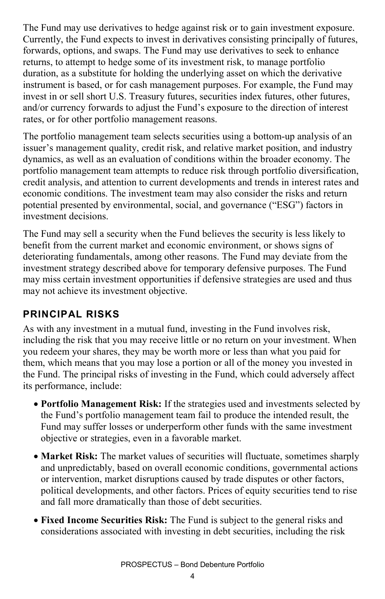The Fund may use derivatives to hedge against risk or to gain investment exposure. Currently, the Fund expects to invest in derivatives consisting principally of futures, forwards, options, and swaps. The Fund may use derivatives to seek to enhance returns, to attempt to hedge some of its investment risk, to manage portfolio duration, as a substitute for holding the underlying asset on which the derivative instrument is based, or for cash management purposes. For example, the Fund may invest in or sell short U.S. Treasury futures, securities index futures, other futures, and/or currency forwards to adjust the Fund's exposure to the direction of interest rates, or for other portfolio management reasons.

The portfolio management team selects securities using a bottom-up analysis of an issuer's management quality, credit risk, and relative market position, and industry dynamics, as well as an evaluation of conditions within the broader economy. The portfolio management team attempts to reduce risk through portfolio diversification, credit analysis, and attention to current developments and trends in interest rates and economic conditions. The investment team may also consider the risks and return potential presented by environmental, social, and governance ("ESG") factors in investment decisions.

The Fund may sell a security when the Fund believes the security is less likely to benefit from the current market and economic environment, or shows signs of deteriorating fundamentals, among other reasons. The Fund may deviate from the investment strategy described above for temporary defensive purposes. The Fund may miss certain investment opportunities if defensive strategies are used and thus may not achieve its investment objective.

#### **PRINCIPAL RISKS**

As with any investment in a mutual fund, investing in the Fund involves risk, including the risk that you may receive little or no return on your investment. When you redeem your shares, they may be worth more or less than what you paid for them, which means that you may lose a portion or all of the money you invested in the Fund. The principal risks of investing in the Fund, which could adversely affect its performance, include:

- **Portfolio Management Risk:** If the strategies used and investments selected by the Fund's portfolio management team fail to produce the intended result, the Fund may suffer losses or underperform other funds with the same investment objective or strategies, even in a favorable market.
- **Market Risk:** The market values of securities will fluctuate, sometimes sharply and unpredictably, based on overall economic conditions, governmental actions or intervention, market disruptions caused by trade disputes or other factors, political developments, and other factors. Prices of equity securities tend to rise and fall more dramatically than those of debt securities.
- **Fixed Income Securities Risk:** The Fund is subject to the general risks and considerations associated with investing in debt securities, including the risk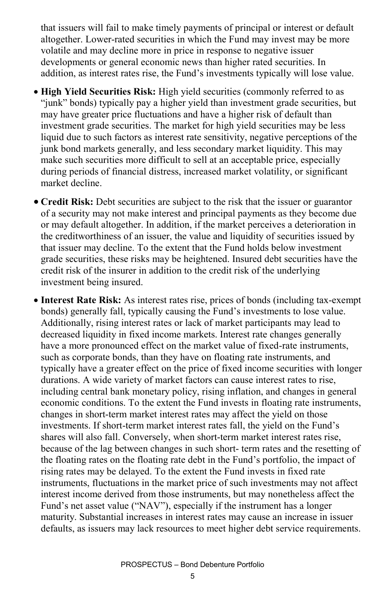that issuers will fail to make timely payments of principal or interest or default altogether. Lower-rated securities in which the Fund may invest may be more volatile and may decline more in price in response to negative issuer developments or general economic news than higher rated securities. In addition, as interest rates rise, the Fund's investments typically will lose value.

- **High Yield Securities Risk:** High yield securities (commonly referred to as "junk" bonds) typically pay a higher yield than investment grade securities, but may have greater price fluctuations and have a higher risk of default than investment grade securities. The market for high yield securities may be less liquid due to such factors as interest rate sensitivity, negative perceptions of the junk bond markets generally, and less secondary market liquidity. This may make such securities more difficult to sell at an acceptable price, especially during periods of financial distress, increased market volatility, or significant market decline.
- **Credit Risk:** Debt securities are subject to the risk that the issuer or guarantor of a security may not make interest and principal payments as they become due or may default altogether. In addition, if the market perceives a deterioration in the creditworthiness of an issuer, the value and liquidity of securities issued by that issuer may decline. To the extent that the Fund holds below investment grade securities, these risks may be heightened. Insured debt securities have the credit risk of the insurer in addition to the credit risk of the underlying investment being insured.
- **Interest Rate Risk:** As interest rates rise, prices of bonds (including tax-exempt bonds) generally fall, typically causing the Fund's investments to lose value. Additionally, rising interest rates or lack of market participants may lead to decreased liquidity in fixed income markets. Interest rate changes generally have a more pronounced effect on the market value of fixed-rate instruments, such as corporate bonds, than they have on floating rate instruments, and typically have a greater effect on the price of fixed income securities with longer durations. A wide variety of market factors can cause interest rates to rise, including central bank monetary policy, rising inflation, and changes in general economic conditions. To the extent the Fund invests in floating rate instruments, changes in short-term market interest rates may affect the yield on those investments. If short-term market interest rates fall, the yield on the Fund's shares will also fall. Conversely, when short-term market interest rates rise, because of the lag between changes in such short- term rates and the resetting of the floating rates on the floating rate debt in the Fund's portfolio, the impact of rising rates may be delayed. To the extent the Fund invests in fixed rate instruments, fluctuations in the market price of such investments may not affect interest income derived from those instruments, but may nonetheless affect the Fund's net asset value ("NAV"), especially if the instrument has a longer maturity. Substantial increases in interest rates may cause an increase in issuer defaults, as issuers may lack resources to meet higher debt service requirements.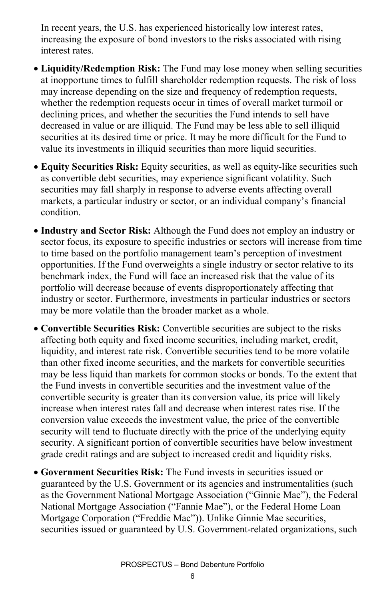In recent years, the U.S. has experienced historically low interest rates, increasing the exposure of bond investors to the risks associated with rising interest rates.

- **Liquidity/Redemption Risk:** The Fund may lose money when selling securities at inopportune times to fulfill shareholder redemption requests. The risk of loss may increase depending on the size and frequency of redemption requests, whether the redemption requests occur in times of overall market turmoil or declining prices, and whether the securities the Fund intends to sell have decreased in value or are illiquid. The Fund may be less able to sell illiquid securities at its desired time or price. It may be more difficult for the Fund to value its investments in illiquid securities than more liquid securities.
- **Equity Securities Risk:** Equity securities, as well as equity-like securities such as convertible debt securities, may experience significant volatility. Such securities may fall sharply in response to adverse events affecting overall markets, a particular industry or sector, or an individual company's financial condition.
- **Industry and Sector Risk:** Although the Fund does not employ an industry or sector focus, its exposure to specific industries or sectors will increase from time to time based on the portfolio management team's perception of investment opportunities. If the Fund overweights a single industry or sector relative to its benchmark index, the Fund will face an increased risk that the value of its portfolio will decrease because of events disproportionately affecting that industry or sector. Furthermore, investments in particular industries or sectors may be more volatile than the broader market as a whole.
- **Convertible Securities Risk:** Convertible securities are subject to the risks affecting both equity and fixed income securities, including market, credit, liquidity, and interest rate risk. Convertible securities tend to be more volatile than other fixed income securities, and the markets for convertible securities may be less liquid than markets for common stocks or bonds. To the extent that the Fund invests in convertible securities and the investment value of the convertible security is greater than its conversion value, its price will likely increase when interest rates fall and decrease when interest rates rise. If the conversion value exceeds the investment value, the price of the convertible security will tend to fluctuate directly with the price of the underlying equity security. A significant portion of convertible securities have below investment grade credit ratings and are subject to increased credit and liquidity risks.
- **Government Securities Risk:** The Fund invests in securities issued or guaranteed by the U.S. Government or its agencies and instrumentalities (such as the Government National Mortgage Association ("Ginnie Mae"), the Federal National Mortgage Association ("Fannie Mae"), or the Federal Home Loan Mortgage Corporation ("Freddie Mac")). Unlike Ginnie Mae securities, securities issued or guaranteed by U.S. Government-related organizations, such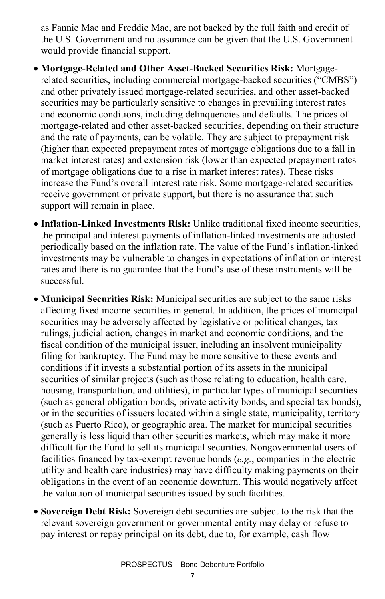as Fannie Mae and Freddie Mac, are not backed by the full faith and credit of the U.S. Government and no assurance can be given that the U.S. Government would provide financial support.

- **Mortgage-Related and Other Asset-Backed Securities Risk:** Mortgagerelated securities, including commercial mortgage-backed securities ("CMBS") and other privately issued mortgage-related securities, and other asset-backed securities may be particularly sensitive to changes in prevailing interest rates and economic conditions, including delinquencies and defaults. The prices of mortgage-related and other asset-backed securities, depending on their structure and the rate of payments, can be volatile. They are subject to prepayment risk (higher than expected prepayment rates of mortgage obligations due to a fall in market interest rates) and extension risk (lower than expected prepayment rates of mortgage obligations due to a rise in market interest rates). These risks increase the Fund's overall interest rate risk. Some mortgage-related securities receive government or private support, but there is no assurance that such support will remain in place.
- **Inflation-Linked Investments Risk:** Unlike traditional fixed income securities, the principal and interest payments of inflation-linked investments are adjusted periodically based on the inflation rate. The value of the Fund's inflation-linked investments may be vulnerable to changes in expectations of inflation or interest rates and there is no guarantee that the Fund's use of these instruments will be successful.
- **Municipal Securities Risk:** Municipal securities are subject to the same risks affecting fixed income securities in general. In addition, the prices of municipal securities may be adversely affected by legislative or political changes, tax rulings, judicial action, changes in market and economic conditions, and the fiscal condition of the municipal issuer, including an insolvent municipality filing for bankruptcy. The Fund may be more sensitive to these events and conditions if it invests a substantial portion of its assets in the municipal securities of similar projects (such as those relating to education, health care, housing, transportation, and utilities), in particular types of municipal securities (such as general obligation bonds, private activity bonds, and special tax bonds), or in the securities of issuers located within a single state, municipality, territory (such as Puerto Rico), or geographic area. The market for municipal securities generally is less liquid than other securities markets, which may make it more difficult for the Fund to sell its municipal securities. Nongovernmental users of facilities financed by tax-exempt revenue bonds (*e.g.*, companies in the electric utility and health care industries) may have difficulty making payments on their obligations in the event of an economic downturn. This would negatively affect the valuation of municipal securities issued by such facilities.
- **Sovereign Debt Risk:** Sovereign debt securities are subject to the risk that the relevant sovereign government or governmental entity may delay or refuse to pay interest or repay principal on its debt, due to, for example, cash flow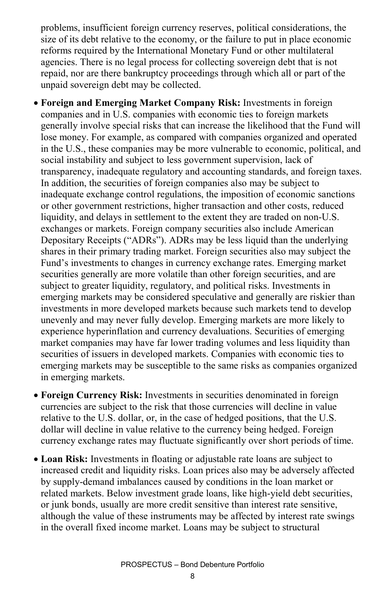problems, insufficient foreign currency reserves, political considerations, the size of its debt relative to the economy, or the failure to put in place economic reforms required by the International Monetary Fund or other multilateral agencies. There is no legal process for collecting sovereign debt that is not repaid, nor are there bankruptcy proceedings through which all or part of the unpaid sovereign debt may be collected.

• **Foreign and Emerging Market Company Risk:** Investments in foreign companies and in U.S. companies with economic ties to foreign markets generally involve special risks that can increase the likelihood that the Fund will lose money. For example, as compared with companies organized and operated in the U.S., these companies may be more vulnerable to economic, political, and social instability and subject to less government supervision, lack of transparency, inadequate regulatory and accounting standards, and foreign taxes. In addition, the securities of foreign companies also may be subject to inadequate exchange control regulations, the imposition of economic sanctions or other government restrictions, higher transaction and other costs, reduced liquidity, and delays in settlement to the extent they are traded on non-U.S. exchanges or markets. Foreign company securities also include American Depositary Receipts ("ADRs"). ADRs may be less liquid than the underlying shares in their primary trading market. Foreign securities also may subject the Fund's investments to changes in currency exchange rates. Emerging market securities generally are more volatile than other foreign securities, and are subject to greater liquidity, regulatory, and political risks. Investments in emerging markets may be considered speculative and generally are riskier than investments in more developed markets because such markets tend to develop unevenly and may never fully develop. Emerging markets are more likely to experience hyperinflation and currency devaluations. Securities of emerging market companies may have far lower trading volumes and less liquidity than securities of issuers in developed markets. Companies with economic ties to emerging markets may be susceptible to the same risks as companies organized in emerging markets.

- **Foreign Currency Risk:** Investments in securities denominated in foreign currencies are subject to the risk that those currencies will decline in value relative to the U.S. dollar, or, in the case of hedged positions, that the U.S. dollar will decline in value relative to the currency being hedged. Foreign currency exchange rates may fluctuate significantly over short periods of time.
- **Loan Risk:** Investments in floating or adjustable rate loans are subject to increased credit and liquidity risks. Loan prices also may be adversely affected by supply-demand imbalances caused by conditions in the loan market or related markets. Below investment grade loans, like high-yield debt securities, or junk bonds, usually are more credit sensitive than interest rate sensitive, although the value of these instruments may be affected by interest rate swings in the overall fixed income market. Loans may be subject to structural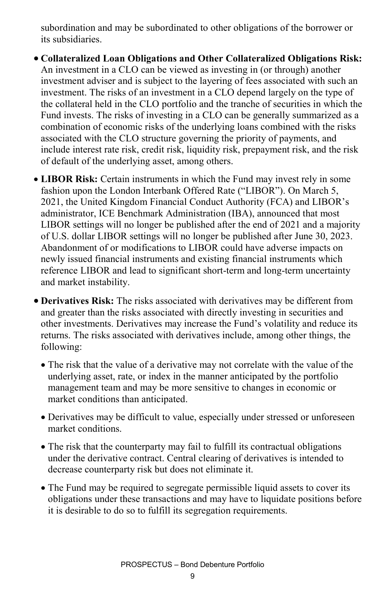subordination and may be subordinated to other obligations of the borrower or its subsidiaries.

• **Collateralized Loan Obligations and Other Collateralized Obligations Risk:** An investment in a CLO can be viewed as investing in (or through) another investment adviser and is subject to the layering of fees associated with such an investment. The risks of an investment in a CLO depend largely on the type of the collateral held in the CLO portfolio and the tranche of securities in which the Fund invests. The risks of investing in a CLO can be generally summarized as a combination of economic risks of the underlying loans combined with the risks associated with the CLO structure governing the priority of payments, and include interest rate risk, credit risk, liquidity risk, prepayment risk, and the risk of default of the underlying asset, among others.

- **LIBOR Risk:** Certain instruments in which the Fund may invest rely in some fashion upon the London Interbank Offered Rate ("LIBOR"). On March 5, 2021, the United Kingdom Financial Conduct Authority (FCA) and LIBOR's administrator, ICE Benchmark Administration (IBA), announced that most LIBOR settings will no longer be published after the end of 2021 and a majority of U.S. dollar LIBOR settings will no longer be published after June 30, 2023. Abandonment of or modifications to LIBOR could have adverse impacts on newly issued financial instruments and existing financial instruments which reference LIBOR and lead to significant short-term and long-term uncertainty and market instability.
- **Derivatives Risk:** The risks associated with derivatives may be different from and greater than the risks associated with directly investing in securities and other investments. Derivatives may increase the Fund's volatility and reduce its returns. The risks associated with derivatives include, among other things, the following:
	- The risk that the value of a derivative may not correlate with the value of the underlying asset, rate, or index in the manner anticipated by the portfolio management team and may be more sensitive to changes in economic or market conditions than anticipated.
	- Derivatives may be difficult to value, especially under stressed or unforeseen market conditions.
	- The risk that the counterparty may fail to fulfill its contractual obligations under the derivative contract. Central clearing of derivatives is intended to decrease counterparty risk but does not eliminate it.
	- The Fund may be required to segregate permissible liquid assets to cover its obligations under these transactions and may have to liquidate positions before it is desirable to do so to fulfill its segregation requirements.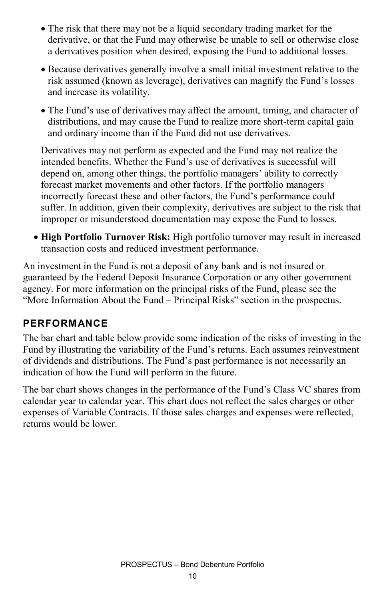- The risk that there may not be a liquid secondary trading market for the derivative, or that the Fund may otherwise be unable to sell or otherwise close a derivatives position when desired, exposing the Fund to additional losses.
- Because derivatives generally involve a small initial investment relative to the risk assumed (known as leverage), derivatives can magnify the Fund's losses and increase its volatility.
- The Fund's use of derivatives may affect the amount, timing, and character of distributions, and may cause the Fund to realize more short-term capital gain and ordinary income than if the Fund did not use derivatives.

Derivatives may not perform as expected and the Fund may not realize the intended benefits. Whether the Fund's use of derivatives is successful will depend on, among other things, the portfolio managers' ability to correctly forecast market movements and other factors. If the portfolio managers incorrectly forecast these and other factors, the Fund's performance could suffer. In addition, given their complexity, derivatives are subject to the risk that improper or misunderstood documentation may expose the Fund to losses.

• **High Portfolio Turnover Risk:** High portfolio turnover may result in increased transaction costs and reduced investment performance.

An investment in the Fund is not a deposit of any bank and is not insured or guaranteed by the Federal Deposit Insurance Corporation or any other government agency. For more information on the principal risks of the Fund, please see the "More Information About the Fund – Principal Risks" section in the prospectus.

#### **PERFORMANCE**

The bar chart and table below provide some indication of the risks of investing in the Fund by illustrating the variability of the Fund's returns. Each assumes reinvestment of dividends and distributions. The Fund's past performance is not necessarily an indication of how the Fund will perform in the future.

The bar chart shows changes in the performance of the Fund's Class VC shares from calendar year to calendar year. This chart does not reflect the sales charges or other expenses of Variable Contracts. If those sales charges and expenses were reflected, returns would be lower.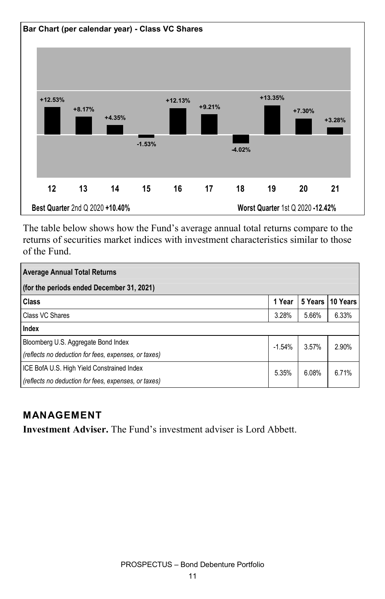

The table below shows how the Fund's average annual total returns compare to the returns of securities market indices with investment characteristics similar to those of the Fund.

| <b>Average Annual Total Returns</b>                  |          |         |          |  |  |  |  |  |
|------------------------------------------------------|----------|---------|----------|--|--|--|--|--|
| (for the periods ended December 31, 2021)            |          |         |          |  |  |  |  |  |
| Class                                                | 1 Year   | 5 Years | 10 Years |  |  |  |  |  |
| Class VC Shares                                      | 3.28%    | 5.66%   | 6.33%    |  |  |  |  |  |
| Index                                                |          |         |          |  |  |  |  |  |
| Bloomberg U.S. Aggregate Bond Index                  | $-1.54%$ | 3.57%   | 2.90%    |  |  |  |  |  |
| (reflects no deduction for fees, expenses, or taxes) |          |         |          |  |  |  |  |  |
| ICE BofA U.S. High Yield Constrained Index           | 5.35%    | 6.08%   | 6.71%    |  |  |  |  |  |
| (reflects no deduction for fees, expenses, or taxes) |          |         |          |  |  |  |  |  |

#### **MANAGEMENT**

**Investment Adviser.** The Fund's investment adviser is Lord Abbett.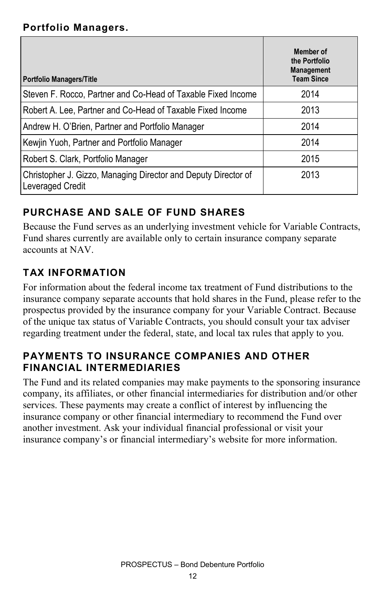#### **Portfolio Managers.**

| <b>Portfolio Managers/Title</b>                                                    | Member of<br>the Portfolio<br><b>Management</b><br><b>Team Since</b> |
|------------------------------------------------------------------------------------|----------------------------------------------------------------------|
| Steven F. Rocco, Partner and Co-Head of Taxable Fixed Income                       | 2014                                                                 |
| Robert A. Lee, Partner and Co-Head of Taxable Fixed Income                         | 2013                                                                 |
| Andrew H. O'Brien, Partner and Portfolio Manager                                   | 2014                                                                 |
| Kewjin Yuoh, Partner and Portfolio Manager                                         | 2014                                                                 |
| Robert S. Clark, Portfolio Manager                                                 | 2015                                                                 |
| Christopher J. Gizzo, Managing Director and Deputy Director of<br>Leveraged Credit | 2013                                                                 |

### **PURCHASE AND SALE OF FUND SHARES**

Because the Fund serves as an underlying investment vehicle for Variable Contracts, Fund shares currently are available only to certain insurance company separate accounts at NAV.

### **TAX INFORMATION**

For information about the federal income tax treatment of Fund distributions to the insurance company separate accounts that hold shares in the Fund, please refer to the prospectus provided by the insurance company for your Variable Contract. Because of the unique tax status of Variable Contracts, you should consult your tax adviser regarding treatment under the federal, state, and local tax rules that apply to you.

#### **PAYMENTS TO INSURANCE COMPANIES AND OTHER FINANCIAL INTERMEDIARIES**

The Fund and its related companies may make payments to the sponsoring insurance company, its affiliates, or other financial intermediaries for distribution and/or other services. These payments may create a conflict of interest by influencing the insurance company or other financial intermediary to recommend the Fund over another investment. Ask your individual financial professional or visit your insurance company's or financial intermediary's website for more information.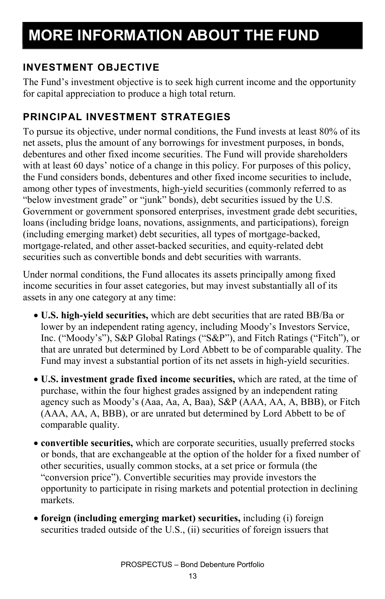### **INVESTMENT OBJECTIVE**

The Fund's investment objective is to seek high current income and the opportunity for capital appreciation to produce a high total return.

### **PRINCIPAL INVESTMENT STRATEGIES**

To pursue its objective, under normal conditions, the Fund invests at least 80% of its net assets, plus the amount of any borrowings for investment purposes, in bonds, debentures and other fixed income securities. The Fund will provide shareholders with at least 60 days' notice of a change in this policy. For purposes of this policy, the Fund considers bonds, debentures and other fixed income securities to include, among other types of investments, high-yield securities (commonly referred to as "below investment grade" or "junk" bonds), debt securities issued by the U.S. Government or government sponsored enterprises, investment grade debt securities, loans (including bridge loans, novations, assignments, and participations), foreign (including emerging market) debt securities, all types of mortgage-backed, mortgage-related, and other asset-backed securities, and equity-related debt securities such as convertible bonds and debt securities with warrants.

Under normal conditions, the Fund allocates its assets principally among fixed income securities in four asset categories, but may invest substantially all of its assets in any one category at any time:

- **U.S. high-yield securities,** which are debt securities that are rated BB/Ba or lower by an independent rating agency, including Moody's Investors Service, Inc. ("Moody's"), S&P Global Ratings ("S&P"), and Fitch Ratings ("Fitch"), or that are unrated but determined by Lord Abbett to be of comparable quality. The Fund may invest a substantial portion of its net assets in high-yield securities.
- **U.S. investment grade fixed income securities,** which are rated, at the time of purchase, within the four highest grades assigned by an independent rating agency such as Moody's (Aaa, Aa, A, Baa), S&P (AAA, AA, A, BBB), or Fitch (AAA, AA, A, BBB), or are unrated but determined by Lord Abbett to be of comparable quality.
- **convertible securities,** which are corporate securities, usually preferred stocks or bonds, that are exchangeable at the option of the holder for a fixed number of other securities, usually common stocks, at a set price or formula (the "conversion price"). Convertible securities may provide investors the opportunity to participate in rising markets and potential protection in declining markets.
- **foreign (including emerging market) securities,** including (i) foreign securities traded outside of the U.S., (ii) securities of foreign issuers that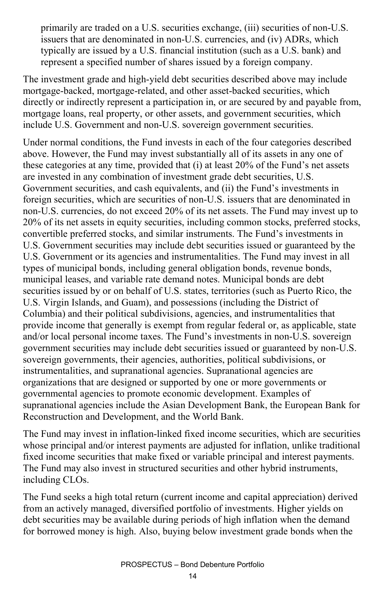primarily are traded on a U.S. securities exchange, (iii) securities of non-U.S. issuers that are denominated in non-U.S. currencies, and (iv) ADRs, which typically are issued by a U.S. financial institution (such as a U.S. bank) and represent a specified number of shares issued by a foreign company.

The investment grade and high-yield debt securities described above may include mortgage-backed, mortgage-related, and other asset-backed securities, which directly or indirectly represent a participation in, or are secured by and payable from, mortgage loans, real property, or other assets, and government securities, which include U.S. Government and non-U.S. sovereign government securities.

Under normal conditions, the Fund invests in each of the four categories described above. However, the Fund may invest substantially all of its assets in any one of these categories at any time, provided that (i) at least 20% of the Fund's net assets are invested in any combination of investment grade debt securities, U.S. Government securities, and cash equivalents, and (ii) the Fund's investments in foreign securities, which are securities of non-U.S. issuers that are denominated in non-U.S. currencies, do not exceed 20% of its net assets. The Fund may invest up to 20% of its net assets in equity securities, including common stocks, preferred stocks, convertible preferred stocks, and similar instruments. The Fund's investments in U.S. Government securities may include debt securities issued or guaranteed by the U.S. Government or its agencies and instrumentalities. The Fund may invest in all types of municipal bonds, including general obligation bonds, revenue bonds, municipal leases, and variable rate demand notes. Municipal bonds are debt securities issued by or on behalf of U.S. states, territories (such as Puerto Rico, the U.S. Virgin Islands, and Guam), and possessions (including the District of Columbia) and their political subdivisions, agencies, and instrumentalities that provide income that generally is exempt from regular federal or, as applicable, state and/or local personal income taxes. The Fund's investments in non-U.S. sovereign government securities may include debt securities issued or guaranteed by non-U.S. sovereign governments, their agencies, authorities, political subdivisions, or instrumentalities, and supranational agencies. Supranational agencies are organizations that are designed or supported by one or more governments or governmental agencies to promote economic development. Examples of supranational agencies include the Asian Development Bank, the European Bank for Reconstruction and Development, and the World Bank.

The Fund may invest in inflation-linked fixed income securities, which are securities whose principal and/or interest payments are adjusted for inflation, unlike traditional fixed income securities that make fixed or variable principal and interest payments. The Fund may also invest in structured securities and other hybrid instruments, including CLOs.

The Fund seeks a high total return (current income and capital appreciation) derived from an actively managed, diversified portfolio of investments. Higher yields on debt securities may be available during periods of high inflation when the demand for borrowed money is high. Also, buying below investment grade bonds when the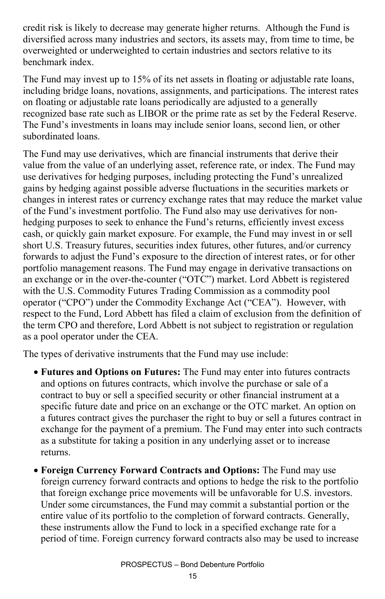credit risk is likely to decrease may generate higher returns. Although the Fund is diversified across many industries and sectors, its assets may, from time to time, be overweighted or underweighted to certain industries and sectors relative to its benchmark index.

The Fund may invest up to 15% of its net assets in floating or adjustable rate loans, including bridge loans, novations, assignments, and participations. The interest rates on floating or adjustable rate loans periodically are adjusted to a generally recognized base rate such as LIBOR or the prime rate as set by the Federal Reserve. The Fund's investments in loans may include senior loans, second lien, or other subordinated loans.

The Fund may use derivatives, which are financial instruments that derive their value from the value of an underlying asset, reference rate, or index. The Fund may use derivatives for hedging purposes, including protecting the Fund's unrealized gains by hedging against possible adverse fluctuations in the securities markets or changes in interest rates or currency exchange rates that may reduce the market value of the Fund's investment portfolio. The Fund also may use derivatives for nonhedging purposes to seek to enhance the Fund's returns, efficiently invest excess cash, or quickly gain market exposure. For example, the Fund may invest in or sell short U.S. Treasury futures, securities index futures, other futures, and/or currency forwards to adjust the Fund's exposure to the direction of interest rates, or for other portfolio management reasons. The Fund may engage in derivative transactions on an exchange or in the over-the-counter ("OTC") market. Lord Abbett is registered with the U.S. Commodity Futures Trading Commission as a commodity pool operator ("CPO") under the Commodity Exchange Act ("CEA"). However, with respect to the Fund, Lord Abbett has filed a claim of exclusion from the definition of the term CPO and therefore, Lord Abbett is not subject to registration or regulation as a pool operator under the CEA.

The types of derivative instruments that the Fund may use include:

- **Futures and Options on Futures:** The Fund may enter into futures contracts and options on futures contracts, which involve the purchase or sale of a contract to buy or sell a specified security or other financial instrument at a specific future date and price on an exchange or the OTC market. An option on a futures contract gives the purchaser the right to buy or sell a futures contract in exchange for the payment of a premium. The Fund may enter into such contracts as a substitute for taking a position in any underlying asset or to increase returns.
- **Foreign Currency Forward Contracts and Options:** The Fund may use foreign currency forward contracts and options to hedge the risk to the portfolio that foreign exchange price movements will be unfavorable for U.S. investors. Under some circumstances, the Fund may commit a substantial portion or the entire value of its portfolio to the completion of forward contracts. Generally, these instruments allow the Fund to lock in a specified exchange rate for a period of time. Foreign currency forward contracts also may be used to increase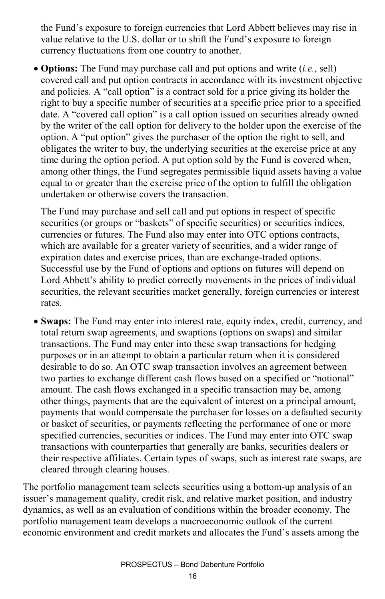the Fund's exposure to foreign currencies that Lord Abbett believes may rise in value relative to the U.S. dollar or to shift the Fund's exposure to foreign currency fluctuations from one country to another.

• **Options:** The Fund may purchase call and put options and write (*i.e.*, sell) covered call and put option contracts in accordance with its investment objective and policies. A "call option" is a contract sold for a price giving its holder the right to buy a specific number of securities at a specific price prior to a specified date. A "covered call option" is a call option issued on securities already owned by the writer of the call option for delivery to the holder upon the exercise of the option. A "put option" gives the purchaser of the option the right to sell, and obligates the writer to buy, the underlying securities at the exercise price at any time during the option period. A put option sold by the Fund is covered when, among other things, the Fund segregates permissible liquid assets having a value equal to or greater than the exercise price of the option to fulfill the obligation undertaken or otherwise covers the transaction.

The Fund may purchase and sell call and put options in respect of specific securities (or groups or "baskets" of specific securities) or securities indices, currencies or futures. The Fund also may enter into OTC options contracts, which are available for a greater variety of securities, and a wider range of expiration dates and exercise prices, than are exchange-traded options. Successful use by the Fund of options and options on futures will depend on Lord Abbett's ability to predict correctly movements in the prices of individual securities, the relevant securities market generally, foreign currencies or interest rates.

• **Swaps:** The Fund may enter into interest rate, equity index, credit, currency, and total return swap agreements, and swaptions (options on swaps) and similar transactions. The Fund may enter into these swap transactions for hedging purposes or in an attempt to obtain a particular return when it is considered desirable to do so. An OTC swap transaction involves an agreement between two parties to exchange different cash flows based on a specified or "notional" amount. The cash flows exchanged in a specific transaction may be, among other things, payments that are the equivalent of interest on a principal amount, payments that would compensate the purchaser for losses on a defaulted security or basket of securities, or payments reflecting the performance of one or more specified currencies, securities or indices. The Fund may enter into OTC swap transactions with counterparties that generally are banks, securities dealers or their respective affiliates. Certain types of swaps, such as interest rate swaps, are cleared through clearing houses.

The portfolio management team selects securities using a bottom-up analysis of an issuer's management quality, credit risk, and relative market position, and industry dynamics, as well as an evaluation of conditions within the broader economy. The portfolio management team develops a macroeconomic outlook of the current economic environment and credit markets and allocates the Fund's assets among the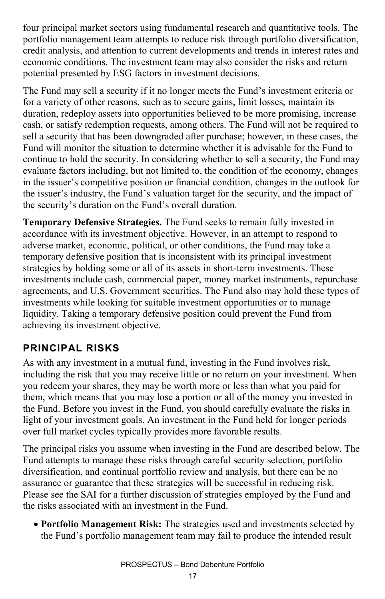four principal market sectors using fundamental research and quantitative tools. The portfolio management team attempts to reduce risk through portfolio diversification, credit analysis, and attention to current developments and trends in interest rates and economic conditions. The investment team may also consider the risks and return potential presented by ESG factors in investment decisions.

The Fund may sell a security if it no longer meets the Fund's investment criteria or for a variety of other reasons, such as to secure gains, limit losses, maintain its duration, redeploy assets into opportunities believed to be more promising, increase cash, or satisfy redemption requests, among others. The Fund will not be required to sell a security that has been downgraded after purchase; however, in these cases, the Fund will monitor the situation to determine whether it is advisable for the Fund to continue to hold the security. In considering whether to sell a security, the Fund may evaluate factors including, but not limited to, the condition of the economy, changes in the issuer's competitive position or financial condition, changes in the outlook for the issuer's industry, the Fund's valuation target for the security, and the impact of the security's duration on the Fund's overall duration.

**Temporary Defensive Strategies.** The Fund seeks to remain fully invested in accordance with its investment objective. However, in an attempt to respond to adverse market, economic, political, or other conditions, the Fund may take a temporary defensive position that is inconsistent with its principal investment strategies by holding some or all of its assets in short-term investments. These investments include cash, commercial paper, money market instruments, repurchase agreements, and U.S. Government securities. The Fund also may hold these types of investments while looking for suitable investment opportunities or to manage liquidity. Taking a temporary defensive position could prevent the Fund from achieving its investment objective.

#### **PRINCIPAL RISKS**

As with any investment in a mutual fund, investing in the Fund involves risk, including the risk that you may receive little or no return on your investment. When you redeem your shares, they may be worth more or less than what you paid for them, which means that you may lose a portion or all of the money you invested in the Fund. Before you invest in the Fund, you should carefully evaluate the risks in light of your investment goals. An investment in the Fund held for longer periods over full market cycles typically provides more favorable results.

The principal risks you assume when investing in the Fund are described below. The Fund attempts to manage these risks through careful security selection, portfolio diversification, and continual portfolio review and analysis, but there can be no assurance or guarantee that these strategies will be successful in reducing risk. Please see the SAI for a further discussion of strategies employed by the Fund and the risks associated with an investment in the Fund.

• **Portfolio Management Risk:** The strategies used and investments selected by the Fund's portfolio management team may fail to produce the intended result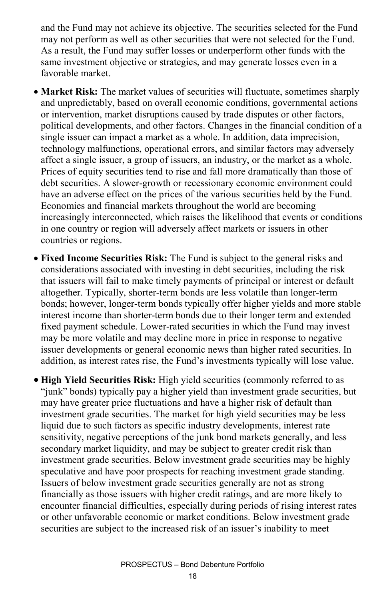and the Fund may not achieve its objective. The securities selected for the Fund may not perform as well as other securities that were not selected for the Fund. As a result, the Fund may suffer losses or underperform other funds with the same investment objective or strategies, and may generate losses even in a favorable market.

- **Market Risk:** The market values of securities will fluctuate, sometimes sharply and unpredictably, based on overall economic conditions, governmental actions or intervention, market disruptions caused by trade disputes or other factors, political developments, and other factors. Changes in the financial condition of a single issuer can impact a market as a whole. In addition, data imprecision, technology malfunctions, operational errors, and similar factors may adversely affect a single issuer, a group of issuers, an industry, or the market as a whole. Prices of equity securities tend to rise and fall more dramatically than those of debt securities. A slower-growth or recessionary economic environment could have an adverse effect on the prices of the various securities held by the Fund. Economies and financial markets throughout the world are becoming increasingly interconnected, which raises the likelihood that events or conditions in one country or region will adversely affect markets or issuers in other countries or regions.
- **Fixed Income Securities Risk:** The Fund is subject to the general risks and considerations associated with investing in debt securities, including the risk that issuers will fail to make timely payments of principal or interest or default altogether. Typically, shorter-term bonds are less volatile than longer-term bonds; however, longer-term bonds typically offer higher yields and more stable interest income than shorter-term bonds due to their longer term and extended fixed payment schedule. Lower-rated securities in which the Fund may invest may be more volatile and may decline more in price in response to negative issuer developments or general economic news than higher rated securities. In addition, as interest rates rise, the Fund's investments typically will lose value.

• **High Yield Securities Risk:** High yield securities (commonly referred to as "junk" bonds) typically pay a higher yield than investment grade securities, but may have greater price fluctuations and have a higher risk of default than investment grade securities. The market for high yield securities may be less liquid due to such factors as specific industry developments, interest rate sensitivity, negative perceptions of the junk bond markets generally, and less secondary market liquidity, and may be subject to greater credit risk than investment grade securities. Below investment grade securities may be highly speculative and have poor prospects for reaching investment grade standing. Issuers of below investment grade securities generally are not as strong financially as those issuers with higher credit ratings, and are more likely to encounter financial difficulties, especially during periods of rising interest rates or other unfavorable economic or market conditions. Below investment grade securities are subject to the increased risk of an issuer's inability to meet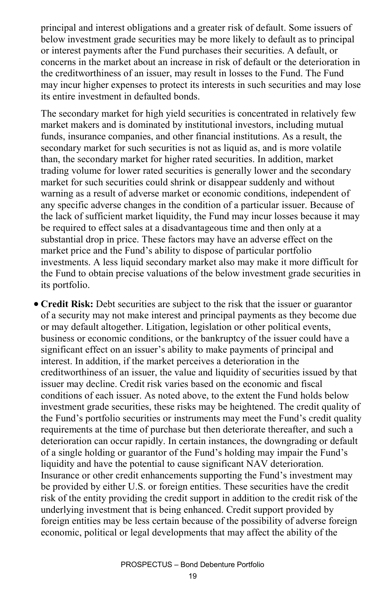principal and interest obligations and a greater risk of default. Some issuers of below investment grade securities may be more likely to default as to principal or interest payments after the Fund purchases their securities. A default, or concerns in the market about an increase in risk of default or the deterioration in the creditworthiness of an issuer, may result in losses to the Fund. The Fund may incur higher expenses to protect its interests in such securities and may lose its entire investment in defaulted bonds.

The secondary market for high yield securities is concentrated in relatively few market makers and is dominated by institutional investors, including mutual funds, insurance companies, and other financial institutions. As a result, the secondary market for such securities is not as liquid as, and is more volatile than, the secondary market for higher rated securities. In addition, market trading volume for lower rated securities is generally lower and the secondary market for such securities could shrink or disappear suddenly and without warning as a result of adverse market or economic conditions, independent of any specific adverse changes in the condition of a particular issuer. Because of the lack of sufficient market liquidity, the Fund may incur losses because it may be required to effect sales at a disadvantageous time and then only at a substantial drop in price. These factors may have an adverse effect on the market price and the Fund's ability to dispose of particular portfolio investments. A less liquid secondary market also may make it more difficult for the Fund to obtain precise valuations of the below investment grade securities in its portfolio.

• **Credit Risk:** Debt securities are subject to the risk that the issuer or guarantor of a security may not make interest and principal payments as they become due or may default altogether. Litigation, legislation or other political events, business or economic conditions, or the bankruptcy of the issuer could have a significant effect on an issuer's ability to make payments of principal and interest. In addition, if the market perceives a deterioration in the creditworthiness of an issuer, the value and liquidity of securities issued by that issuer may decline. Credit risk varies based on the economic and fiscal conditions of each issuer. As noted above, to the extent the Fund holds below investment grade securities, these risks may be heightened. The credit quality of the Fund's portfolio securities or instruments may meet the Fund's credit quality requirements at the time of purchase but then deteriorate thereafter, and such a deterioration can occur rapidly. In certain instances, the downgrading or default of a single holding or guarantor of the Fund's holding may impair the Fund's liquidity and have the potential to cause significant NAV deterioration. Insurance or other credit enhancements supporting the Fund's investment may be provided by either U.S. or foreign entities. These securities have the credit risk of the entity providing the credit support in addition to the credit risk of the underlying investment that is being enhanced. Credit support provided by foreign entities may be less certain because of the possibility of adverse foreign economic, political or legal developments that may affect the ability of the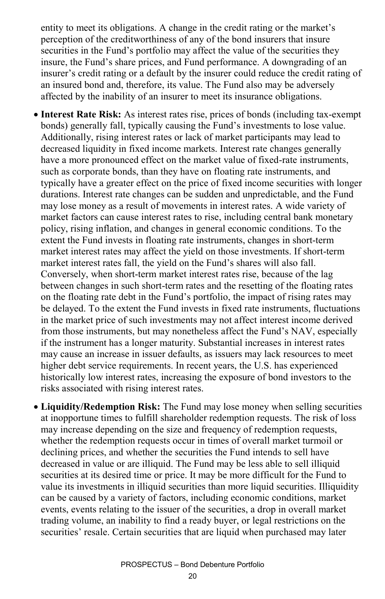entity to meet its obligations. A change in the credit rating or the market's perception of the creditworthiness of any of the bond insurers that insure securities in the Fund's portfolio may affect the value of the securities they insure, the Fund's share prices, and Fund performance. A downgrading of an insurer's credit rating or a default by the insurer could reduce the credit rating of an insured bond and, therefore, its value. The Fund also may be adversely affected by the inability of an insurer to meet its insurance obligations.

- **Interest Rate Risk:** As interest rates rise, prices of bonds (including tax-exempt bonds) generally fall, typically causing the Fund's investments to lose value. Additionally, rising interest rates or lack of market participants may lead to decreased liquidity in fixed income markets. Interest rate changes generally have a more pronounced effect on the market value of fixed-rate instruments, such as corporate bonds, than they have on floating rate instruments, and typically have a greater effect on the price of fixed income securities with longer durations. Interest rate changes can be sudden and unpredictable, and the Fund may lose money as a result of movements in interest rates. A wide variety of market factors can cause interest rates to rise, including central bank monetary policy, rising inflation, and changes in general economic conditions. To the extent the Fund invests in floating rate instruments, changes in short-term market interest rates may affect the yield on those investments. If short-term market interest rates fall, the yield on the Fund's shares will also fall. Conversely, when short-term market interest rates rise, because of the lag between changes in such short-term rates and the resetting of the floating rates on the floating rate debt in the Fund's portfolio, the impact of rising rates may be delayed. To the extent the Fund invests in fixed rate instruments, fluctuations in the market price of such investments may not affect interest income derived from those instruments, but may nonetheless affect the Fund's NAV, especially if the instrument has a longer maturity. Substantial increases in interest rates may cause an increase in issuer defaults, as issuers may lack resources to meet higher debt service requirements. In recent years, the U.S. has experienced historically low interest rates, increasing the exposure of bond investors to the risks associated with rising interest rates.
- **Liquidity/Redemption Risk:** The Fund may lose money when selling securities at inopportune times to fulfill shareholder redemption requests. The risk of loss may increase depending on the size and frequency of redemption requests, whether the redemption requests occur in times of overall market turmoil or declining prices, and whether the securities the Fund intends to sell have decreased in value or are illiquid. The Fund may be less able to sell illiquid securities at its desired time or price. It may be more difficult for the Fund to value its investments in illiquid securities than more liquid securities. Illiquidity can be caused by a variety of factors, including economic conditions, market events, events relating to the issuer of the securities, a drop in overall market trading volume, an inability to find a ready buyer, or legal restrictions on the securities' resale. Certain securities that are liquid when purchased may later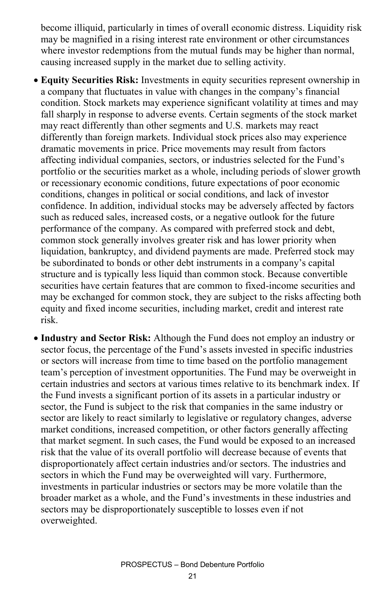become illiquid, particularly in times of overall economic distress. Liquidity risk may be magnified in a rising interest rate environment or other circumstances where investor redemptions from the mutual funds may be higher than normal, causing increased supply in the market due to selling activity.

- **Equity Securities Risk:** Investments in equity securities represent ownership in a company that fluctuates in value with changes in the company's financial condition. Stock markets may experience significant volatility at times and may fall sharply in response to adverse events. Certain segments of the stock market may react differently than other segments and U.S. markets may react differently than foreign markets. Individual stock prices also may experience dramatic movements in price. Price movements may result from factors affecting individual companies, sectors, or industries selected for the Fund's portfolio or the securities market as a whole, including periods of slower growth or recessionary economic conditions, future expectations of poor economic conditions, changes in political or social conditions, and lack of investor confidence. In addition, individual stocks may be adversely affected by factors such as reduced sales, increased costs, or a negative outlook for the future performance of the company. As compared with preferred stock and debt, common stock generally involves greater risk and has lower priority when liquidation, bankruptcy, and dividend payments are made. Preferred stock may be subordinated to bonds or other debt instruments in a company's capital structure and is typically less liquid than common stock. Because convertible securities have certain features that are common to fixed-income securities and may be exchanged for common stock, they are subject to the risks affecting both equity and fixed income securities, including market, credit and interest rate risk.
- **Industry and Sector Risk:** Although the Fund does not employ an industry or sector focus, the percentage of the Fund's assets invested in specific industries or sectors will increase from time to time based on the portfolio management team's perception of investment opportunities. The Fund may be overweight in certain industries and sectors at various times relative to its benchmark index. If the Fund invests a significant portion of its assets in a particular industry or sector, the Fund is subject to the risk that companies in the same industry or sector are likely to react similarly to legislative or regulatory changes, adverse market conditions, increased competition, or other factors generally affecting that market segment. In such cases, the Fund would be exposed to an increased risk that the value of its overall portfolio will decrease because of events that disproportionately affect certain industries and/or sectors. The industries and sectors in which the Fund may be overweighted will vary. Furthermore, investments in particular industries or sectors may be more volatile than the broader market as a whole, and the Fund's investments in these industries and sectors may be disproportionately susceptible to losses even if not overweighted.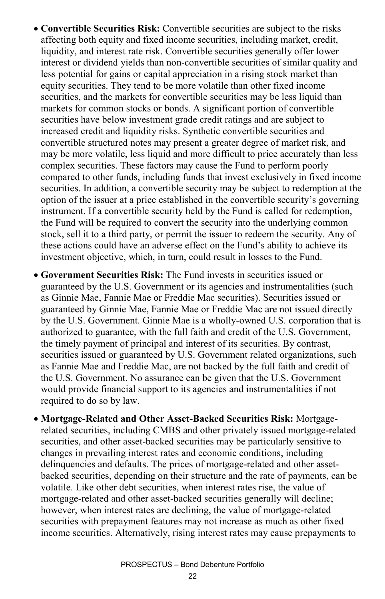- **Convertible Securities Risk:** Convertible securities are subject to the risks affecting both equity and fixed income securities, including market, credit, liquidity, and interest rate risk. Convertible securities generally offer lower interest or dividend yields than non-convertible securities of similar quality and less potential for gains or capital appreciation in a rising stock market than equity securities. They tend to be more volatile than other fixed income securities, and the markets for convertible securities may be less liquid than markets for common stocks or bonds. A significant portion of convertible securities have below investment grade credit ratings and are subject to increased credit and liquidity risks. Synthetic convertible securities and convertible structured notes may present a greater degree of market risk, and may be more volatile, less liquid and more difficult to price accurately than less complex securities. These factors may cause the Fund to perform poorly compared to other funds, including funds that invest exclusively in fixed income securities. In addition, a convertible security may be subject to redemption at the option of the issuer at a price established in the convertible security's governing instrument. If a convertible security held by the Fund is called for redemption, the Fund will be required to convert the security into the underlying common stock, sell it to a third party, or permit the issuer to redeem the security. Any of these actions could have an adverse effect on the Fund's ability to achieve its investment objective, which, in turn, could result in losses to the Fund.
- **Government Securities Risk:** The Fund invests in securities issued or guaranteed by the U.S. Government or its agencies and instrumentalities (such as Ginnie Mae, Fannie Mae or Freddie Mac securities). Securities issued or guaranteed by Ginnie Mae, Fannie Mae or Freddie Mac are not issued directly by the U.S. Government. Ginnie Mae is a wholly-owned U.S. corporation that is authorized to guarantee, with the full faith and credit of the U.S. Government, the timely payment of principal and interest of its securities. By contrast, securities issued or guaranteed by U.S. Government related organizations, such as Fannie Mae and Freddie Mac, are not backed by the full faith and credit of the U.S. Government. No assurance can be given that the U.S. Government would provide financial support to its agencies and instrumentalities if not required to do so by law.
- **Mortgage-Related and Other Asset-Backed Securities Risk:** Mortgagerelated securities, including CMBS and other privately issued mortgage-related securities, and other asset-backed securities may be particularly sensitive to changes in prevailing interest rates and economic conditions, including delinquencies and defaults. The prices of mortgage-related and other assetbacked securities, depending on their structure and the rate of payments, can be volatile. Like other debt securities, when interest rates rise, the value of mortgage-related and other asset-backed securities generally will decline; however, when interest rates are declining, the value of mortgage-related securities with prepayment features may not increase as much as other fixed income securities. Alternatively, rising interest rates may cause prepayments to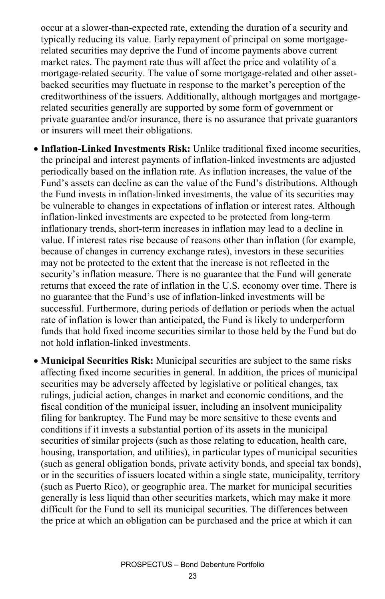occur at a slower-than-expected rate, extending the duration of a security and typically reducing its value. Early repayment of principal on some mortgagerelated securities may deprive the Fund of income payments above current market rates. The payment rate thus will affect the price and volatility of a mortgage-related security. The value of some mortgage-related and other assetbacked securities may fluctuate in response to the market's perception of the creditworthiness of the issuers. Additionally, although mortgages and mortgagerelated securities generally are supported by some form of government or private guarantee and/or insurance, there is no assurance that private guarantors or insurers will meet their obligations.

- **Inflation-Linked Investments Risk:** Unlike traditional fixed income securities, the principal and interest payments of inflation-linked investments are adjusted periodically based on the inflation rate. As inflation increases, the value of the Fund's assets can decline as can the value of the Fund's distributions. Although the Fund invests in inflation-linked investments, the value of its securities may be vulnerable to changes in expectations of inflation or interest rates. Although inflation-linked investments are expected to be protected from long-term inflationary trends, short-term increases in inflation may lead to a decline in value. If interest rates rise because of reasons other than inflation (for example, because of changes in currency exchange rates), investors in these securities may not be protected to the extent that the increase is not reflected in the security's inflation measure. There is no guarantee that the Fund will generate returns that exceed the rate of inflation in the U.S. economy over time. There is no guarantee that the Fund's use of inflation-linked investments will be successful. Furthermore, during periods of deflation or periods when the actual rate of inflation is lower than anticipated, the Fund is likely to underperform funds that hold fixed income securities similar to those held by the Fund but do not hold inflation-linked investments.
- **Municipal Securities Risk:** Municipal securities are subject to the same risks affecting fixed income securities in general. In addition, the prices of municipal securities may be adversely affected by legislative or political changes, tax rulings, judicial action, changes in market and economic conditions, and the fiscal condition of the municipal issuer, including an insolvent municipality filing for bankruptcy. The Fund may be more sensitive to these events and conditions if it invests a substantial portion of its assets in the municipal securities of similar projects (such as those relating to education, health care, housing, transportation, and utilities), in particular types of municipal securities (such as general obligation bonds, private activity bonds, and special tax bonds), or in the securities of issuers located within a single state, municipality, territory (such as Puerto Rico), or geographic area. The market for municipal securities generally is less liquid than other securities markets, which may make it more difficult for the Fund to sell its municipal securities. The differences between the price at which an obligation can be purchased and the price at which it can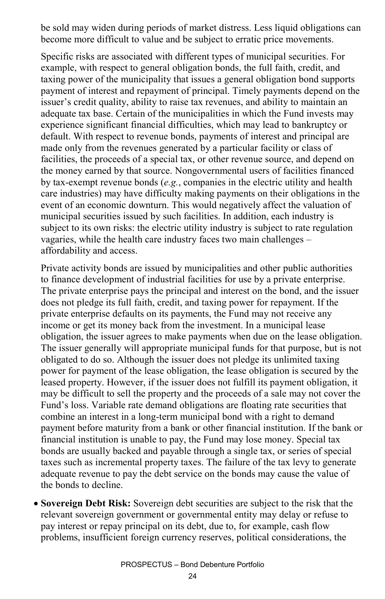be sold may widen during periods of market distress. Less liquid obligations can become more difficult to value and be subject to erratic price movements.

Specific risks are associated with different types of municipal securities. For example, with respect to general obligation bonds, the full faith, credit, and taxing power of the municipality that issues a general obligation bond supports payment of interest and repayment of principal. Timely payments depend on the issuer's credit quality, ability to raise tax revenues, and ability to maintain an adequate tax base. Certain of the municipalities in which the Fund invests may experience significant financial difficulties, which may lead to bankruptcy or default. With respect to revenue bonds, payments of interest and principal are made only from the revenues generated by a particular facility or class of facilities, the proceeds of a special tax, or other revenue source, and depend on the money earned by that source. Nongovernmental users of facilities financed by tax-exempt revenue bonds (*e.g.*, companies in the electric utility and health care industries) may have difficulty making payments on their obligations in the event of an economic downturn. This would negatively affect the valuation of municipal securities issued by such facilities. In addition, each industry is subject to its own risks: the electric utility industry is subject to rate regulation vagaries, while the health care industry faces two main challenges – affordability and access.

Private activity bonds are issued by municipalities and other public authorities to finance development of industrial facilities for use by a private enterprise. The private enterprise pays the principal and interest on the bond, and the issuer does not pledge its full faith, credit, and taxing power for repayment. If the private enterprise defaults on its payments, the Fund may not receive any income or get its money back from the investment. In a municipal lease obligation, the issuer agrees to make payments when due on the lease obligation. The issuer generally will appropriate municipal funds for that purpose, but is not obligated to do so. Although the issuer does not pledge its unlimited taxing power for payment of the lease obligation, the lease obligation is secured by the leased property. However, if the issuer does not fulfill its payment obligation, it may be difficult to sell the property and the proceeds of a sale may not cover the Fund's loss. Variable rate demand obligations are floating rate securities that combine an interest in a long-term municipal bond with a right to demand payment before maturity from a bank or other financial institution. If the bank or financial institution is unable to pay, the Fund may lose money. Special tax bonds are usually backed and payable through a single tax, or series of special taxes such as incremental property taxes. The failure of the tax levy to generate adequate revenue to pay the debt service on the bonds may cause the value of the bonds to decline.

• **Sovereign Debt Risk:** Sovereign debt securities are subject to the risk that the relevant sovereign government or governmental entity may delay or refuse to pay interest or repay principal on its debt, due to, for example, cash flow problems, insufficient foreign currency reserves, political considerations, the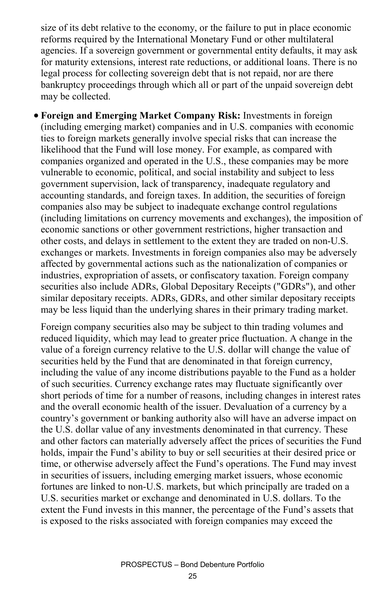size of its debt relative to the economy, or the failure to put in place economic reforms required by the International Monetary Fund or other multilateral agencies. If a sovereign government or governmental entity defaults, it may ask for maturity extensions, interest rate reductions, or additional loans. There is no legal process for collecting sovereign debt that is not repaid, nor are there bankruptcy proceedings through which all or part of the unpaid sovereign debt may be collected.

• **Foreign and Emerging Market Company Risk:** Investments in foreign (including emerging market) companies and in U.S. companies with economic ties to foreign markets generally involve special risks that can increase the likelihood that the Fund will lose money. For example, as compared with companies organized and operated in the U.S., these companies may be more vulnerable to economic, political, and social instability and subject to less government supervision, lack of transparency, inadequate regulatory and accounting standards, and foreign taxes. In addition, the securities of foreign companies also may be subject to inadequate exchange control regulations (including limitations on currency movements and exchanges), the imposition of economic sanctions or other government restrictions, higher transaction and other costs, and delays in settlement to the extent they are traded on non-U.S. exchanges or markets. Investments in foreign companies also may be adversely affected by governmental actions such as the nationalization of companies or industries, expropriation of assets, or confiscatory taxation. Foreign company securities also include ADRs, Global Depositary Receipts ("GDRs"), and other similar depositary receipts. ADRs, GDRs, and other similar depositary receipts may be less liquid than the underlying shares in their primary trading market.

Foreign company securities also may be subject to thin trading volumes and reduced liquidity, which may lead to greater price fluctuation. A change in the value of a foreign currency relative to the U.S. dollar will change the value of securities held by the Fund that are denominated in that foreign currency, including the value of any income distributions payable to the Fund as a holder of such securities. Currency exchange rates may fluctuate significantly over short periods of time for a number of reasons, including changes in interest rates and the overall economic health of the issuer. Devaluation of a currency by a country's government or banking authority also will have an adverse impact on the U.S. dollar value of any investments denominated in that currency. These and other factors can materially adversely affect the prices of securities the Fund holds, impair the Fund's ability to buy or sell securities at their desired price or time, or otherwise adversely affect the Fund's operations. The Fund may invest in securities of issuers, including emerging market issuers, whose economic fortunes are linked to non-U.S. markets, but which principally are traded on a U.S. securities market or exchange and denominated in U.S. dollars. To the extent the Fund invests in this manner, the percentage of the Fund's assets that is exposed to the risks associated with foreign companies may exceed the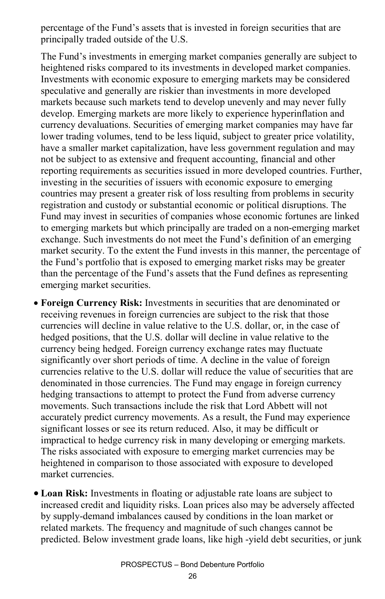percentage of the Fund's assets that is invested in foreign securities that are principally traded outside of the U.S.

The Fund's investments in emerging market companies generally are subject to heightened risks compared to its investments in developed market companies. Investments with economic exposure to emerging markets may be considered speculative and generally are riskier than investments in more developed markets because such markets tend to develop unevenly and may never fully develop. Emerging markets are more likely to experience hyperinflation and currency devaluations. Securities of emerging market companies may have far lower trading volumes, tend to be less liquid, subject to greater price volatility, have a smaller market capitalization, have less government regulation and may not be subject to as extensive and frequent accounting, financial and other reporting requirements as securities issued in more developed countries. Further, investing in the securities of issuers with economic exposure to emerging countries may present a greater risk of loss resulting from problems in security registration and custody or substantial economic or political disruptions. The Fund may invest in securities of companies whose economic fortunes are linked to emerging markets but which principally are traded on a non-emerging market exchange. Such investments do not meet the Fund's definition of an emerging market security. To the extent the Fund invests in this manner, the percentage of the Fund's portfolio that is exposed to emerging market risks may be greater than the percentage of the Fund's assets that the Fund defines as representing emerging market securities.

- **Foreign Currency Risk:** Investments in securities that are denominated or receiving revenues in foreign currencies are subject to the risk that those currencies will decline in value relative to the U.S. dollar, or, in the case of hedged positions, that the U.S. dollar will decline in value relative to the currency being hedged. Foreign currency exchange rates may fluctuate significantly over short periods of time. A decline in the value of foreign currencies relative to the U.S. dollar will reduce the value of securities that are denominated in those currencies. The Fund may engage in foreign currency hedging transactions to attempt to protect the Fund from adverse currency movements. Such transactions include the risk that Lord Abbett will not accurately predict currency movements. As a result, the Fund may experience significant losses or see its return reduced. Also, it may be difficult or impractical to hedge currency risk in many developing or emerging markets. The risks associated with exposure to emerging market currencies may be heightened in comparison to those associated with exposure to developed market currencies.
- **Loan Risk:** Investments in floating or adjustable rate loans are subject to increased credit and liquidity risks. Loan prices also may be adversely affected by supply-demand imbalances caused by conditions in the loan market or related markets. The frequency and magnitude of such changes cannot be predicted. Below investment grade loans, like high -yield debt securities, or junk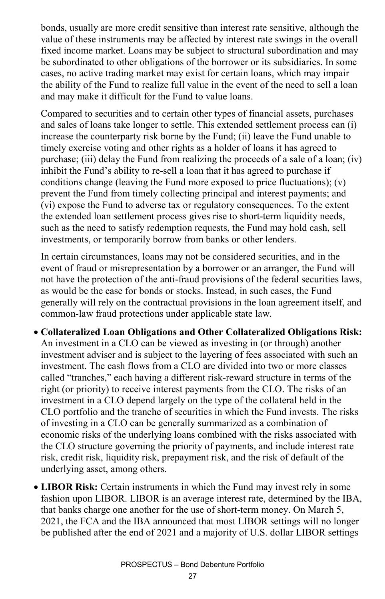bonds, usually are more credit sensitive than interest rate sensitive, although the value of these instruments may be affected by interest rate swings in the overall fixed income market. Loans may be subject to structural subordination and may be subordinated to other obligations of the borrower or its subsidiaries. In some cases, no active trading market may exist for certain loans, which may impair the ability of the Fund to realize full value in the event of the need to sell a loan and may make it difficult for the Fund to value loans.

Compared to securities and to certain other types of financial assets, purchases and sales of loans take longer to settle. This extended settlement process can (i) increase the counterparty risk borne by the Fund; (ii) leave the Fund unable to timely exercise voting and other rights as a holder of loans it has agreed to purchase; (iii) delay the Fund from realizing the proceeds of a sale of a loan; (iv) inhibit the Fund's ability to re-sell a loan that it has agreed to purchase if conditions change (leaving the Fund more exposed to price fluctuations); (v) prevent the Fund from timely collecting principal and interest payments; and (vi) expose the Fund to adverse tax or regulatory consequences. To the extent the extended loan settlement process gives rise to short-term liquidity needs, such as the need to satisfy redemption requests, the Fund may hold cash, sell investments, or temporarily borrow from banks or other lenders.

In certain circumstances, loans may not be considered securities, and in the event of fraud or misrepresentation by a borrower or an arranger, the Fund will not have the protection of the anti-fraud provisions of the federal securities laws, as would be the case for bonds or stocks. Instead, in such cases, the Fund generally will rely on the contractual provisions in the loan agreement itself, and common-law fraud protections under applicable state law.

- **Collateralized Loan Obligations and Other Collateralized Obligations Risk:** An investment in a CLO can be viewed as investing in (or through) another investment adviser and is subject to the layering of fees associated with such an investment. The cash flows from a CLO are divided into two or more classes called "tranches," each having a different risk-reward structure in terms of the right (or priority) to receive interest payments from the CLO. The risks of an investment in a CLO depend largely on the type of the collateral held in the CLO portfolio and the tranche of securities in which the Fund invests. The risks of investing in a CLO can be generally summarized as a combination of economic risks of the underlying loans combined with the risks associated with the CLO structure governing the priority of payments, and include interest rate risk, credit risk, liquidity risk, prepayment risk, and the risk of default of the underlying asset, among others.
- **LIBOR Risk:** Certain instruments in which the Fund may invest rely in some fashion upon LIBOR. LIBOR is an average interest rate, determined by the IBA, that banks charge one another for the use of short-term money. On March 5, 2021, the FCA and the IBA announced that most LIBOR settings will no longer be published after the end of 2021 and a majority of U.S. dollar LIBOR settings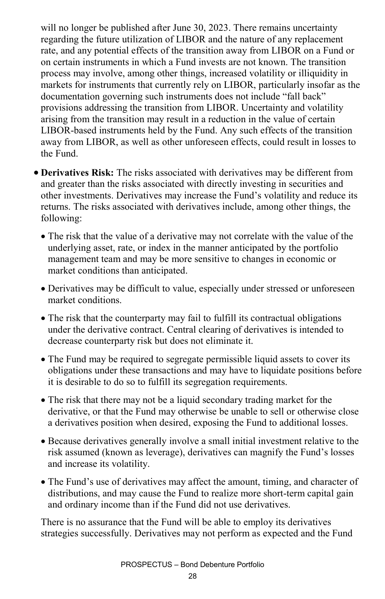will no longer be published after June 30, 2023. There remains uncertainty regarding the future utilization of LIBOR and the nature of any replacement rate, and any potential effects of the transition away from LIBOR on a Fund or on certain instruments in which a Fund invests are not known. The transition process may involve, among other things, increased volatility or illiquidity in markets for instruments that currently rely on LIBOR, particularly insofar as the documentation governing such instruments does not include "fall back" provisions addressing the transition from LIBOR. Uncertainty and volatility arising from the transition may result in a reduction in the value of certain LIBOR-based instruments held by the Fund. Any such effects of the transition away from LIBOR, as well as other unforeseen effects, could result in losses to the Fund.

- **Derivatives Risk:** The risks associated with derivatives may be different from and greater than the risks associated with directly investing in securities and other investments. Derivatives may increase the Fund's volatility and reduce its returns. The risks associated with derivatives include, among other things, the following:
	- The risk that the value of a derivative may not correlate with the value of the underlying asset, rate, or index in the manner anticipated by the portfolio management team and may be more sensitive to changes in economic or market conditions than anticipated.
	- Derivatives may be difficult to value, especially under stressed or unforeseen market conditions.
	- The risk that the counterparty may fail to fulfill its contractual obligations under the derivative contract. Central clearing of derivatives is intended to decrease counterparty risk but does not eliminate it.
	- The Fund may be required to segregate permissible liquid assets to cover its obligations under these transactions and may have to liquidate positions before it is desirable to do so to fulfill its segregation requirements.
	- The risk that there may not be a liquid secondary trading market for the derivative, or that the Fund may otherwise be unable to sell or otherwise close a derivatives position when desired, exposing the Fund to additional losses.
	- Because derivatives generally involve a small initial investment relative to the risk assumed (known as leverage), derivatives can magnify the Fund's losses and increase its volatility.
	- The Fund's use of derivatives may affect the amount, timing, and character of distributions, and may cause the Fund to realize more short-term capital gain and ordinary income than if the Fund did not use derivatives.

There is no assurance that the Fund will be able to employ its derivatives strategies successfully. Derivatives may not perform as expected and the Fund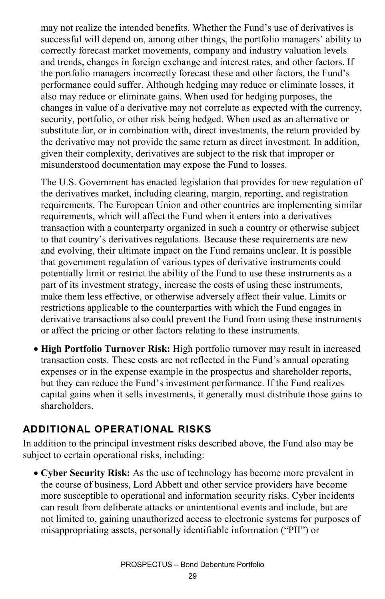may not realize the intended benefits. Whether the Fund's use of derivatives is successful will depend on, among other things, the portfolio managers' ability to correctly forecast market movements, company and industry valuation levels and trends, changes in foreign exchange and interest rates, and other factors. If the portfolio managers incorrectly forecast these and other factors, the Fund's performance could suffer. Although hedging may reduce or eliminate losses, it also may reduce or eliminate gains. When used for hedging purposes, the changes in value of a derivative may not correlate as expected with the currency, security, portfolio, or other risk being hedged. When used as an alternative or substitute for, or in combination with, direct investments, the return provided by the derivative may not provide the same return as direct investment. In addition, given their complexity, derivatives are subject to the risk that improper or misunderstood documentation may expose the Fund to losses.

The U.S. Government has enacted legislation that provides for new regulation of the derivatives market, including clearing, margin, reporting, and registration requirements. The European Union and other countries are implementing similar requirements, which will affect the Fund when it enters into a derivatives transaction with a counterparty organized in such a country or otherwise subject to that country's derivatives regulations. Because these requirements are new and evolving, their ultimate impact on the Fund remains unclear. It is possible that government regulation of various types of derivative instruments could potentially limit or restrict the ability of the Fund to use these instruments as a part of its investment strategy, increase the costs of using these instruments, make them less effective, or otherwise adversely affect their value. Limits or restrictions applicable to the counterparties with which the Fund engages in derivative transactions also could prevent the Fund from using these instruments or affect the pricing or other factors relating to these instruments.

• **High Portfolio Turnover Risk:** High portfolio turnover may result in increased transaction costs. These costs are not reflected in the Fund's annual operating expenses or in the expense example in the prospectus and shareholder reports, but they can reduce the Fund's investment performance. If the Fund realizes capital gains when it sells investments, it generally must distribute those gains to shareholders.

#### **ADDITIONAL OPERATIONAL RISKS**

In addition to the principal investment risks described above, the Fund also may be subject to certain operational risks, including:

• **Cyber Security Risk:** As the use of technology has become more prevalent in the course of business, Lord Abbett and other service providers have become more susceptible to operational and information security risks. Cyber incidents can result from deliberate attacks or unintentional events and include, but are not limited to, gaining unauthorized access to electronic systems for purposes of misappropriating assets, personally identifiable information ("PII") or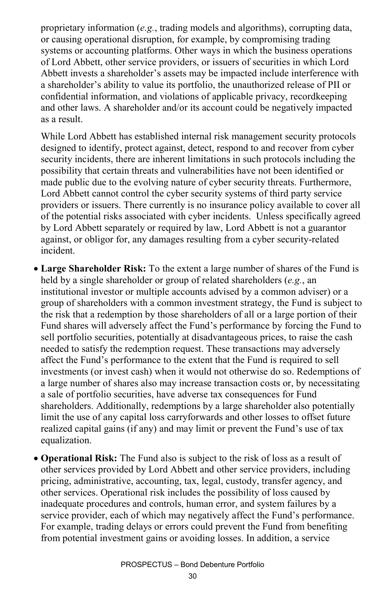proprietary information (*e.g.*, trading models and algorithms), corrupting data, or causing operational disruption, for example, by compromising trading systems or accounting platforms. Other ways in which the business operations of Lord Abbett, other service providers, or issuers of securities in which Lord Abbett invests a shareholder's assets may be impacted include interference with a shareholder's ability to value its portfolio, the unauthorized release of PII or confidential information, and violations of applicable privacy, recordkeeping and other laws. A shareholder and/or its account could be negatively impacted as a result.

While Lord Abbett has established internal risk management security protocols designed to identify, protect against, detect, respond to and recover from cyber security incidents, there are inherent limitations in such protocols including the possibility that certain threats and vulnerabilities have not been identified or made public due to the evolving nature of cyber security threats. Furthermore, Lord Abbett cannot control the cyber security systems of third party service providers or issuers. There currently is no insurance policy available to cover all of the potential risks associated with cyber incidents. Unless specifically agreed by Lord Abbett separately or required by law, Lord Abbett is not a guarantor against, or obligor for, any damages resulting from a cyber security-related incident.

- **Large Shareholder Risk:** To the extent a large number of shares of the Fund is held by a single shareholder or group of related shareholders (*e.g.*, an institutional investor or multiple accounts advised by a common adviser) or a group of shareholders with a common investment strategy, the Fund is subject to the risk that a redemption by those shareholders of all or a large portion of their Fund shares will adversely affect the Fund's performance by forcing the Fund to sell portfolio securities, potentially at disadvantageous prices, to raise the cash needed to satisfy the redemption request. These transactions may adversely affect the Fund's performance to the extent that the Fund is required to sell investments (or invest cash) when it would not otherwise do so. Redemptions of a large number of shares also may increase transaction costs or, by necessitating a sale of portfolio securities, have adverse tax consequences for Fund shareholders. Additionally, redemptions by a large shareholder also potentially limit the use of any capital loss carryforwards and other losses to offset future realized capital gains (if any) and may limit or prevent the Fund's use of tax equalization.
- **Operational Risk:** The Fund also is subject to the risk of loss as a result of other services provided by Lord Abbett and other service providers, including pricing, administrative, accounting, tax, legal, custody, transfer agency, and other services. Operational risk includes the possibility of loss caused by inadequate procedures and controls, human error, and system failures by a service provider, each of which may negatively affect the Fund's performance. For example, trading delays or errors could prevent the Fund from benefiting from potential investment gains or avoiding losses. In addition, a service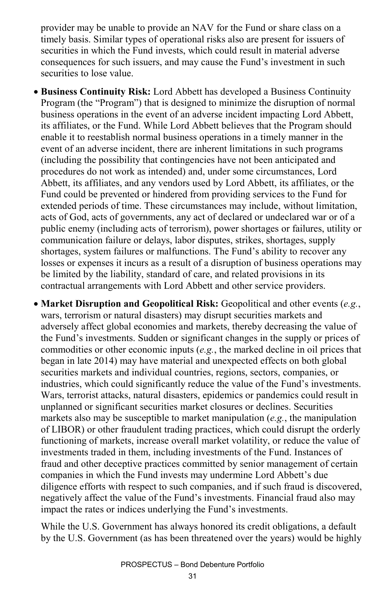provider may be unable to provide an NAV for the Fund or share class on a timely basis. Similar types of operational risks also are present for issuers of securities in which the Fund invests, which could result in material adverse consequences for such issuers, and may cause the Fund's investment in such securities to lose value.

• **Business Continuity Risk:** Lord Abbett has developed a Business Continuity Program (the "Program") that is designed to minimize the disruption of normal business operations in the event of an adverse incident impacting Lord Abbett, its affiliates, or the Fund. While Lord Abbett believes that the Program should enable it to reestablish normal business operations in a timely manner in the event of an adverse incident, there are inherent limitations in such programs (including the possibility that contingencies have not been anticipated and procedures do not work as intended) and, under some circumstances, Lord Abbett, its affiliates, and any vendors used by Lord Abbett, its affiliates, or the Fund could be prevented or hindered from providing services to the Fund for extended periods of time. These circumstances may include, without limitation, acts of God, acts of governments, any act of declared or undeclared war or of a public enemy (including acts of terrorism), power shortages or failures, utility or communication failure or delays, labor disputes, strikes, shortages, supply shortages, system failures or malfunctions. The Fund's ability to recover any losses or expenses it incurs as a result of a disruption of business operations may be limited by the liability, standard of care, and related provisions in its contractual arrangements with Lord Abbett and other service providers.

• **Market Disruption and Geopolitical Risk:** Geopolitical and other events (*e.g.*, wars, terrorism or natural disasters) may disrupt securities markets and adversely affect global economies and markets, thereby decreasing the value of the Fund's investments. Sudden or significant changes in the supply or prices of commodities or other economic inputs (*e.g.*, the marked decline in oil prices that began in late 2014) may have material and unexpected effects on both global securities markets and individual countries, regions, sectors, companies, or industries, which could significantly reduce the value of the Fund's investments. Wars, terrorist attacks, natural disasters, epidemics or pandemics could result in unplanned or significant securities market closures or declines. Securities markets also may be susceptible to market manipulation (*e.g.*, the manipulation of LIBOR) or other fraudulent trading practices, which could disrupt the orderly functioning of markets, increase overall market volatility, or reduce the value of investments traded in them, including investments of the Fund. Instances of fraud and other deceptive practices committed by senior management of certain companies in which the Fund invests may undermine Lord Abbett's due diligence efforts with respect to such companies, and if such fraud is discovered, negatively affect the value of the Fund's investments. Financial fraud also may impact the rates or indices underlying the Fund's investments.

While the U.S. Government has always honored its credit obligations, a default by the U.S. Government (as has been threatened over the years) would be highly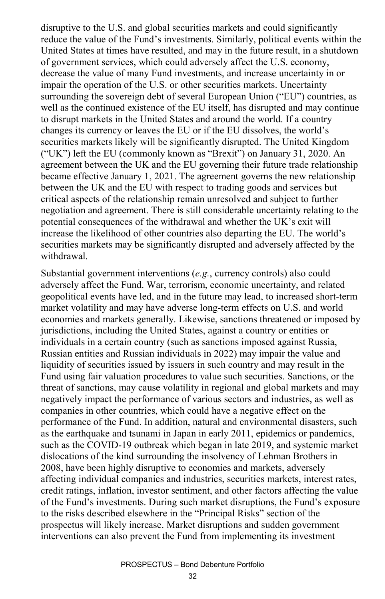disruptive to the U.S. and global securities markets and could significantly reduce the value of the Fund's investments. Similarly, political events within the United States at times have resulted, and may in the future result, in a shutdown of government services, which could adversely affect the U.S. economy, decrease the value of many Fund investments, and increase uncertainty in or impair the operation of the U.S. or other securities markets. Uncertainty surrounding the sovereign debt of several European Union ("EU") countries, as well as the continued existence of the EU itself, has disrupted and may continue to disrupt markets in the United States and around the world. If a country changes its currency or leaves the EU or if the EU dissolves, the world's securities markets likely will be significantly disrupted. The United Kingdom ("UK") left the EU (commonly known as "Brexit") on January 31, 2020. An agreement between the UK and the EU governing their future trade relationship became effective January 1, 2021. The agreement governs the new relationship between the UK and the EU with respect to trading goods and services but critical aspects of the relationship remain unresolved and subject to further negotiation and agreement. There is still considerable uncertainty relating to the potential consequences of the withdrawal and whether the UK's exit will increase the likelihood of other countries also departing the EU. The world's securities markets may be significantly disrupted and adversely affected by the withdrawal.

Substantial government interventions (*e.g.*, currency controls) also could adversely affect the Fund. War, terrorism, economic uncertainty, and related geopolitical events have led, and in the future may lead, to increased short-term market volatility and may have adverse long-term effects on U.S. and world economies and markets generally. Likewise, sanctions threatened or imposed by jurisdictions, including the United States, against a country or entities or individuals in a certain country (such as sanctions imposed against Russia, Russian entities and Russian individuals in 2022) may impair the value and liquidity of securities issued by issuers in such country and may result in the Fund using fair valuation procedures to value such securities. Sanctions, or the threat of sanctions, may cause volatility in regional and global markets and may negatively impact the performance of various sectors and industries, as well as companies in other countries, which could have a negative effect on the performance of the Fund. In addition, natural and environmental disasters, such as the earthquake and tsunami in Japan in early 2011, epidemics or pandemics, such as the COVID-19 outbreak which began in late 2019, and systemic market dislocations of the kind surrounding the insolvency of Lehman Brothers in 2008, have been highly disruptive to economies and markets, adversely affecting individual companies and industries, securities markets, interest rates, credit ratings, inflation, investor sentiment, and other factors affecting the value of the Fund's investments. During such market disruptions, the Fund's exposure to the risks described elsewhere in the "Principal Risks" section of the prospectus will likely increase. Market disruptions and sudden government interventions can also prevent the Fund from implementing its investment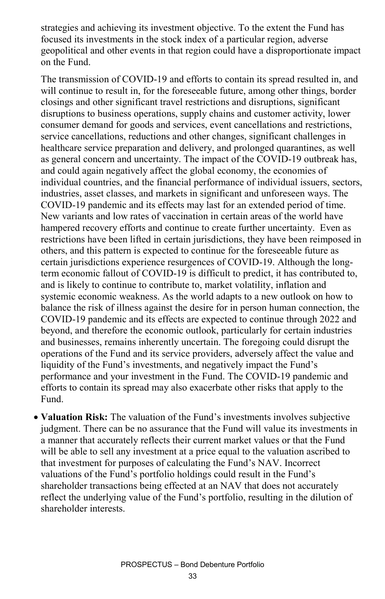strategies and achieving its investment objective. To the extent the Fund has focused its investments in the stock index of a particular region, adverse geopolitical and other events in that region could have a disproportionate impact on the Fund.

The transmission of COVID-19 and efforts to contain its spread resulted in, and will continue to result in, for the foreseeable future, among other things, border closings and other significant travel restrictions and disruptions, significant disruptions to business operations, supply chains and customer activity, lower consumer demand for goods and services, event cancellations and restrictions, service cancellations, reductions and other changes, significant challenges in healthcare service preparation and delivery, and prolonged quarantines, as well as general concern and uncertainty. The impact of the COVID-19 outbreak has, and could again negatively affect the global economy, the economies of individual countries, and the financial performance of individual issuers, sectors, industries, asset classes, and markets in significant and unforeseen ways. The COVID-19 pandemic and its effects may last for an extended period of time. New variants and low rates of vaccination in certain areas of the world have hampered recovery efforts and continue to create further uncertainty. Even as restrictions have been lifted in certain jurisdictions, they have been reimposed in others, and this pattern is expected to continue for the foreseeable future as certain jurisdictions experience resurgences of COVID-19. Although the longterm economic fallout of COVID-19 is difficult to predict, it has contributed to, and is likely to continue to contribute to, market volatility, inflation and systemic economic weakness. As the world adapts to a new outlook on how to balance the risk of illness against the desire for in person human connection, the COVID-19 pandemic and its effects are expected to continue through 2022 and beyond, and therefore the economic outlook, particularly for certain industries and businesses, remains inherently uncertain. The foregoing could disrupt the operations of the Fund and its service providers, adversely affect the value and liquidity of the Fund's investments, and negatively impact the Fund's performance and your investment in the Fund. The COVID-19 pandemic and efforts to contain its spread may also exacerbate other risks that apply to the Fund.

• **Valuation Risk:** The valuation of the Fund's investments involves subjective judgment. There can be no assurance that the Fund will value its investments in a manner that accurately reflects their current market values or that the Fund will be able to sell any investment at a price equal to the valuation ascribed to that investment for purposes of calculating the Fund's NAV. Incorrect valuations of the Fund's portfolio holdings could result in the Fund's shareholder transactions being effected at an NAV that does not accurately reflect the underlying value of the Fund's portfolio, resulting in the dilution of shareholder interests.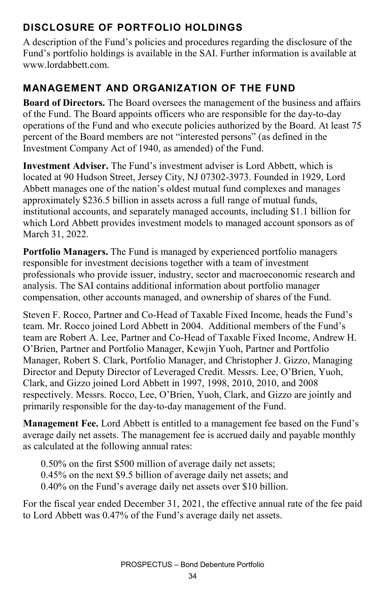### **DISCLOSURE OF PORTFOLIO HOLDINGS**

A description of the Fund's policies and procedures regarding the disclosure of the Fund's portfolio holdings is available in the SAI. Further information is available at www.lordabbett.com.

#### **MANAGEMENT AND ORGANIZATION OF THE FUND**

**Board of Directors.** The Board oversees the management of the business and affairs of the Fund. The Board appoints officers who are responsible for the day-to-day operations of the Fund and who execute policies authorized by the Board. At least 75 percent of the Board members are not "interested persons" (as defined in the Investment Company Act of 1940, as amended) of the Fund.

**Investment Adviser.** The Fund's investment adviser is Lord Abbett, which is located at 90 Hudson Street, Jersey City, NJ 07302-3973. Founded in 1929, Lord Abbett manages one of the nation's oldest mutual fund complexes and manages approximately \$236.5 billion in assets across a full range of mutual funds, institutional accounts, and separately managed accounts, including \$1.1 billion for which Lord Abbett provides investment models to managed account sponsors as of March 31, 2022.

**Portfolio Managers.** The Fund is managed by experienced portfolio managers responsible for investment decisions together with a team of investment professionals who provide issuer, industry, sector and macroeconomic research and analysis. The SAI contains additional information about portfolio manager compensation, other accounts managed, and ownership of shares of the Fund.

Steven F. Rocco, Partner and Co-Head of Taxable Fixed Income, heads the Fund's team. Mr. Rocco joined Lord Abbett in 2004. Additional members of the Fund's team are Robert A. Lee, Partner and Co-Head of Taxable Fixed Income, Andrew H. O'Brien, Partner and Portfolio Manager, Kewjin Yuoh, Partner and Portfolio Manager, Robert S. Clark, Portfolio Manager, and Christopher J. Gizzo, Managing Director and Deputy Director of Leveraged Credit. Messrs. Lee, O'Brien, Yuoh, Clark, and Gizzo joined Lord Abbett in 1997, 1998, 2010, 2010, and 2008 respectively. Messrs. Rocco, Lee, O'Brien, Yuoh, Clark, and Gizzo are jointly and primarily responsible for the day-to-day management of the Fund.

**Management Fee.** Lord Abbett is entitled to a management fee based on the Fund's average daily net assets. The management fee is accrued daily and payable monthly as calculated at the following annual rates:

0.50% on the first \$500 million of average daily net assets; 0.45% on the next \$9.5 billion of average daily net assets; and 0.40% on the Fund's average daily net assets over \$10 billion.

For the fiscal year ended December 31, 2021, the effective annual rate of the fee paid to Lord Abbett was 0.47% of the Fund's average daily net assets.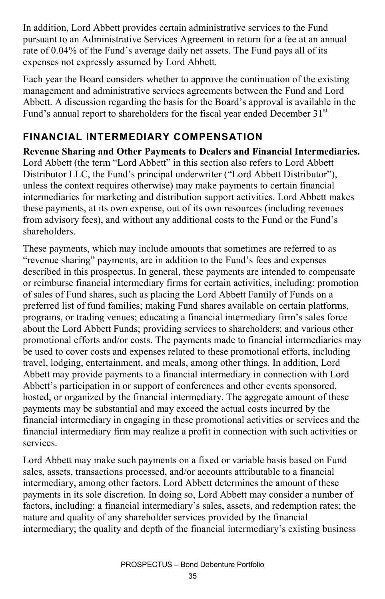In addition, Lord Abbett provides certain administrative services to the Fund pursuant to an Administrative Services Agreement in return for a fee at an annual rate of 0.04% of the Fund's average daily net assets. The Fund pays all of its expenses not expressly assumed by Lord Abbett.

Each year the Board considers whether to approve the continuation of the existing management and administrative services agreements between the Fund and Lord Abbett. A discussion regarding the basis for the Board's approval is available in the Fund's annual report to shareholders for the fiscal year ended December 31<sup>st</sup>

#### **FINANCIAL INTERMEDIARY COMPENSATION**

**Revenue Sharing and Other Payments to Dealers and Financial Intermediaries.** Lord Abbett (the term "Lord Abbett" in this section also refers to Lord Abbett Distributor LLC, the Fund's principal underwriter ("Lord Abbett Distributor"), unless the context requires otherwise) may make payments to certain financial intermediaries for marketing and distribution support activities. Lord Abbett makes these payments, at its own expense, out of its own resources (including revenues from advisory fees), and without any additional costs to the Fund or the Fund's shareholders.

These payments, which may include amounts that sometimes are referred to as "revenue sharing" payments, are in addition to the Fund's fees and expenses described in this prospectus. In general, these payments are intended to compensate or reimburse financial intermediary firms for certain activities, including: promotion of sales of Fund shares, such as placing the Lord Abbett Family of Funds on a preferred list of fund families; making Fund shares available on certain platforms, programs, or trading venues; educating a financial intermediary firm's sales force about the Lord Abbett Funds; providing services to shareholders; and various other promotional efforts and/or costs. The payments made to financial intermediaries may be used to cover costs and expenses related to these promotional efforts, including travel, lodging, entertainment, and meals, among other things. In addition, Lord Abbett may provide payments to a financial intermediary in connection with Lord Abbett's participation in or support of conferences and other events sponsored, hosted, or organized by the financial intermediary. The aggregate amount of these payments may be substantial and may exceed the actual costs incurred by the financial intermediary in engaging in these promotional activities or services and the financial intermediary firm may realize a profit in connection with such activities or services.

Lord Abbett may make such payments on a fixed or variable basis based on Fund sales, assets, transactions processed, and/or accounts attributable to a financial intermediary, among other factors. Lord Abbett determines the amount of these payments in its sole discretion. In doing so, Lord Abbett may consider a number of factors, including: a financial intermediary's sales, assets, and redemption rates; the nature and quality of any shareholder services provided by the financial intermediary; the quality and depth of the financial intermediary's existing business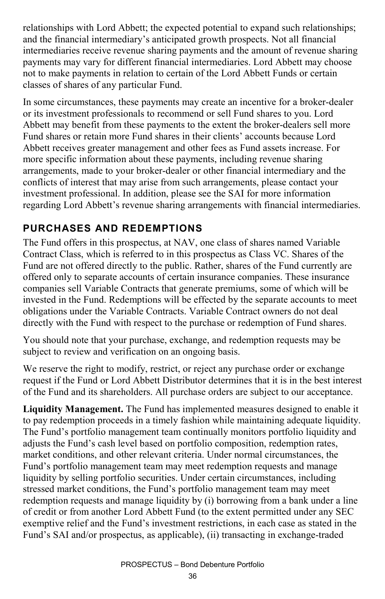relationships with Lord Abbett; the expected potential to expand such relationships; and the financial intermediary's anticipated growth prospects. Not all financial intermediaries receive revenue sharing payments and the amount of revenue sharing payments may vary for different financial intermediaries. Lord Abbett may choose not to make payments in relation to certain of the Lord Abbett Funds or certain classes of shares of any particular Fund.

In some circumstances, these payments may create an incentive for a broker-dealer or its investment professionals to recommend or sell Fund shares to you. Lord Abbett may benefit from these payments to the extent the broker-dealers sell more Fund shares or retain more Fund shares in their clients' accounts because Lord Abbett receives greater management and other fees as Fund assets increase. For more specific information about these payments, including revenue sharing arrangements, made to your broker-dealer or other financial intermediary and the conflicts of interest that may arise from such arrangements, please contact your investment professional. In addition, please see the SAI for more information regarding Lord Abbett's revenue sharing arrangements with financial intermediaries.

### **PURCHASES AND REDEMPTIONS**

The Fund offers in this prospectus, at NAV, one class of shares named Variable Contract Class, which is referred to in this prospectus as Class VC. Shares of the Fund are not offered directly to the public. Rather, shares of the Fund currently are offered only to separate accounts of certain insurance companies. These insurance companies sell Variable Contracts that generate premiums, some of which will be invested in the Fund. Redemptions will be effected by the separate accounts to meet obligations under the Variable Contracts. Variable Contract owners do not deal directly with the Fund with respect to the purchase or redemption of Fund shares.

You should note that your purchase, exchange, and redemption requests may be subject to review and verification on an ongoing basis.

We reserve the right to modify, restrict, or reject any purchase order or exchange request if the Fund or Lord Abbett Distributor determines that it is in the best interest of the Fund and its shareholders. All purchase orders are subject to our acceptance.

**Liquidity Management.** The Fund has implemented measures designed to enable it to pay redemption proceeds in a timely fashion while maintaining adequate liquidity. The Fund's portfolio management team continually monitors portfolio liquidity and adjusts the Fund's cash level based on portfolio composition, redemption rates, market conditions, and other relevant criteria. Under normal circumstances, the Fund's portfolio management team may meet redemption requests and manage liquidity by selling portfolio securities. Under certain circumstances, including stressed market conditions, the Fund's portfolio management team may meet redemption requests and manage liquidity by (i) borrowing from a bank under a line of credit or from another Lord Abbett Fund (to the extent permitted under any SEC exemptive relief and the Fund's investment restrictions, in each case as stated in the Fund's SAI and/or prospectus, as applicable), (ii) transacting in exchange-traded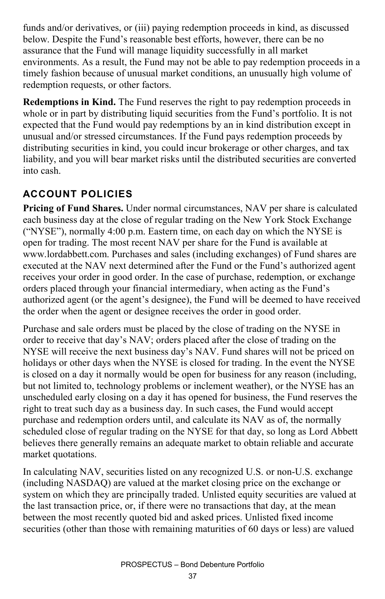funds and/or derivatives, or (iii) paying redemption proceeds in kind, as discussed below. Despite the Fund's reasonable best efforts, however, there can be no assurance that the Fund will manage liquidity successfully in all market environments. As a result, the Fund may not be able to pay redemption proceeds in a timely fashion because of unusual market conditions, an unusually high volume of redemption requests, or other factors.

**Redemptions in Kind.** The Fund reserves the right to pay redemption proceeds in whole or in part by distributing liquid securities from the Fund's portfolio. It is not expected that the Fund would pay redemptions by an in kind distribution except in unusual and/or stressed circumstances. If the Fund pays redemption proceeds by distributing securities in kind, you could incur brokerage or other charges, and tax liability, and you will bear market risks until the distributed securities are converted into cash.

## **ACCOUNT POLICIES**

**Pricing of Fund Shares.** Under normal circumstances, NAV per share is calculated each business day at the close of regular trading on the New York Stock Exchange ("NYSE"), normally 4:00 p.m. Eastern time, on each day on which the NYSE is open for trading. The most recent NAV per share for the Fund is available at www.lordabbett.com. Purchases and sales (including exchanges) of Fund shares are executed at the NAV next determined after the Fund or the Fund's authorized agent receives your order in good order. In the case of purchase, redemption, or exchange orders placed through your financial intermediary, when acting as the Fund's authorized agent (or the agent's designee), the Fund will be deemed to have received the order when the agent or designee receives the order in good order.

Purchase and sale orders must be placed by the close of trading on the NYSE in order to receive that day's NAV; orders placed after the close of trading on the NYSE will receive the next business day's NAV. Fund shares will not be priced on holidays or other days when the NYSE is closed for trading. In the event the NYSE is closed on a day it normally would be open for business for any reason (including, but not limited to, technology problems or inclement weather), or the NYSE has an unscheduled early closing on a day it has opened for business, the Fund reserves the right to treat such day as a business day. In such cases, the Fund would accept purchase and redemption orders until, and calculate its NAV as of, the normally scheduled close of regular trading on the NYSE for that day, so long as Lord Abbett believes there generally remains an adequate market to obtain reliable and accurate market quotations.

In calculating NAV, securities listed on any recognized U.S. or non-U.S. exchange (including NASDAQ) are valued at the market closing price on the exchange or system on which they are principally traded. Unlisted equity securities are valued at the last transaction price, or, if there were no transactions that day, at the mean between the most recently quoted bid and asked prices. Unlisted fixed income securities (other than those with remaining maturities of 60 days or less) are valued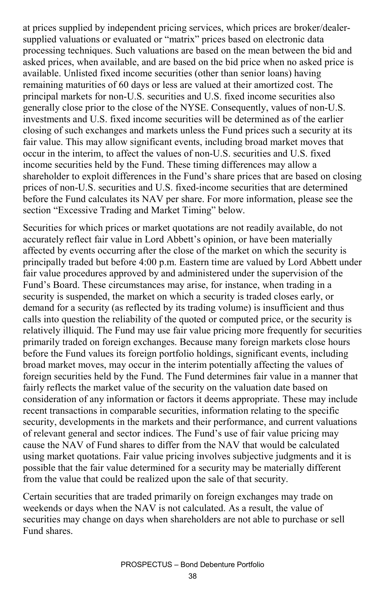at prices supplied by independent pricing services, which prices are broker/dealersupplied valuations or evaluated or "matrix" prices based on electronic data processing techniques. Such valuations are based on the mean between the bid and asked prices, when available, and are based on the bid price when no asked price is available. Unlisted fixed income securities (other than senior loans) having remaining maturities of 60 days or less are valued at their amortized cost. The principal markets for non-U.S. securities and U.S. fixed income securities also generally close prior to the close of the NYSE. Consequently, values of non-U.S. investments and U.S. fixed income securities will be determined as of the earlier closing of such exchanges and markets unless the Fund prices such a security at its fair value. This may allow significant events, including broad market moves that occur in the interim, to affect the values of non-U.S. securities and U.S. fixed income securities held by the Fund. These timing differences may allow a shareholder to exploit differences in the Fund's share prices that are based on closing prices of non-U.S. securities and U.S. fixed-income securities that are determined before the Fund calculates its NAV per share. For more information, please see the section "Excessive Trading and Market Timing" below.

Securities for which prices or market quotations are not readily available, do not accurately reflect fair value in Lord Abbett's opinion, or have been materially affected by events occurring after the close of the market on which the security is principally traded but before 4:00 p.m. Eastern time are valued by Lord Abbett under fair value procedures approved by and administered under the supervision of the Fund's Board. These circumstances may arise, for instance, when trading in a security is suspended, the market on which a security is traded closes early, or demand for a security (as reflected by its trading volume) is insufficient and thus calls into question the reliability of the quoted or computed price, or the security is relatively illiquid. The Fund may use fair value pricing more frequently for securities primarily traded on foreign exchanges. Because many foreign markets close hours before the Fund values its foreign portfolio holdings, significant events, including broad market moves, may occur in the interim potentially affecting the values of foreign securities held by the Fund. The Fund determines fair value in a manner that fairly reflects the market value of the security on the valuation date based on consideration of any information or factors it deems appropriate. These may include recent transactions in comparable securities, information relating to the specific security, developments in the markets and their performance, and current valuations of relevant general and sector indices. The Fund's use of fair value pricing may cause the NAV of Fund shares to differ from the NAV that would be calculated using market quotations. Fair value pricing involves subjective judgments and it is possible that the fair value determined for a security may be materially different from the value that could be realized upon the sale of that security.

Certain securities that are traded primarily on foreign exchanges may trade on weekends or days when the NAV is not calculated. As a result, the value of securities may change on days when shareholders are not able to purchase or sell Fund shares.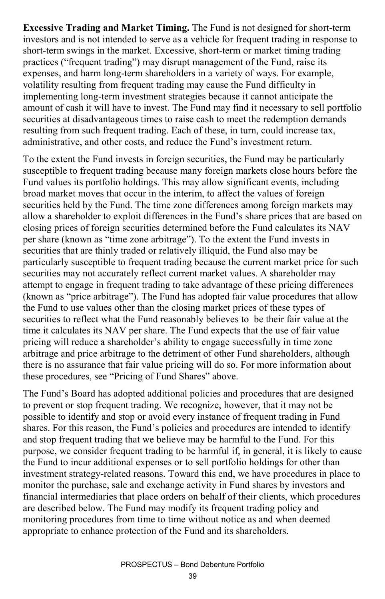**Excessive Trading and Market Timing.** The Fund is not designed for short-term investors and is not intended to serve as a vehicle for frequent trading in response to short-term swings in the market. Excessive, short-term or market timing trading practices ("frequent trading") may disrupt management of the Fund, raise its expenses, and harm long-term shareholders in a variety of ways. For example, volatility resulting from frequent trading may cause the Fund difficulty in implementing long-term investment strategies because it cannot anticipate the amount of cash it will have to invest. The Fund may find it necessary to sell portfolio securities at disadvantageous times to raise cash to meet the redemption demands resulting from such frequent trading. Each of these, in turn, could increase tax, administrative, and other costs, and reduce the Fund's investment return.

To the extent the Fund invests in foreign securities, the Fund may be particularly susceptible to frequent trading because many foreign markets close hours before the Fund values its portfolio holdings. This may allow significant events, including broad market moves that occur in the interim, to affect the values of foreign securities held by the Fund. The time zone differences among foreign markets may allow a shareholder to exploit differences in the Fund's share prices that are based on closing prices of foreign securities determined before the Fund calculates its NAV per share (known as "time zone arbitrage"). To the extent the Fund invests in securities that are thinly traded or relatively illiquid, the Fund also may be particularly susceptible to frequent trading because the current market price for such securities may not accurately reflect current market values. A shareholder may attempt to engage in frequent trading to take advantage of these pricing differences (known as "price arbitrage"). The Fund has adopted fair value procedures that allow the Fund to use values other than the closing market prices of these types of securities to reflect what the Fund reasonably believes to be their fair value at the time it calculates its NAV per share. The Fund expects that the use of fair value pricing will reduce a shareholder's ability to engage successfully in time zone arbitrage and price arbitrage to the detriment of other Fund shareholders, although there is no assurance that fair value pricing will do so. For more information about these procedures, see "Pricing of Fund Shares" above.

The Fund's Board has adopted additional policies and procedures that are designed to prevent or stop frequent trading. We recognize, however, that it may not be possible to identify and stop or avoid every instance of frequent trading in Fund shares. For this reason, the Fund's policies and procedures are intended to identify and stop frequent trading that we believe may be harmful to the Fund. For this purpose, we consider frequent trading to be harmful if, in general, it is likely to cause the Fund to incur additional expenses or to sell portfolio holdings for other than investment strategy-related reasons. Toward this end, we have procedures in place to monitor the purchase, sale and exchange activity in Fund shares by investors and financial intermediaries that place orders on behalf of their clients, which procedures are described below. The Fund may modify its frequent trading policy and monitoring procedures from time to time without notice as and when deemed appropriate to enhance protection of the Fund and its shareholders.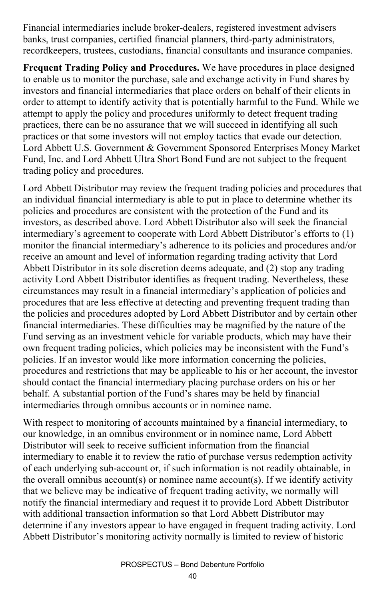Financial intermediaries include broker-dealers, registered investment advisers banks, trust companies, certified financial planners, third-party administrators, recordkeepers, trustees, custodians, financial consultants and insurance companies.

**Frequent Trading Policy and Procedures.** We have procedures in place designed to enable us to monitor the purchase, sale and exchange activity in Fund shares by investors and financial intermediaries that place orders on behalf of their clients in order to attempt to identify activity that is potentially harmful to the Fund. While we attempt to apply the policy and procedures uniformly to detect frequent trading practices, there can be no assurance that we will succeed in identifying all such practices or that some investors will not employ tactics that evade our detection. Lord Abbett U.S. Government & Government Sponsored Enterprises Money Market Fund, Inc. and Lord Abbett Ultra Short Bond Fund are not subject to the frequent trading policy and procedures.

Lord Abbett Distributor may review the frequent trading policies and procedures that an individual financial intermediary is able to put in place to determine whether its policies and procedures are consistent with the protection of the Fund and its investors, as described above. Lord Abbett Distributor also will seek the financial intermediary's agreement to cooperate with Lord Abbett Distributor's efforts to (1) monitor the financial intermediary's adherence to its policies and procedures and/or receive an amount and level of information regarding trading activity that Lord Abbett Distributor in its sole discretion deems adequate, and (2) stop any trading activity Lord Abbett Distributor identifies as frequent trading. Nevertheless, these circumstances may result in a financial intermediary's application of policies and procedures that are less effective at detecting and preventing frequent trading than the policies and procedures adopted by Lord Abbett Distributor and by certain other financial intermediaries. These difficulties may be magnified by the nature of the Fund serving as an investment vehicle for variable products, which may have their own frequent trading policies, which policies may be inconsistent with the Fund's policies. If an investor would like more information concerning the policies, procedures and restrictions that may be applicable to his or her account, the investor should contact the financial intermediary placing purchase orders on his or her behalf. A substantial portion of the Fund's shares may be held by financial intermediaries through omnibus accounts or in nominee name.

With respect to monitoring of accounts maintained by a financial intermediary, to our knowledge, in an omnibus environment or in nominee name, Lord Abbett Distributor will seek to receive sufficient information from the financial intermediary to enable it to review the ratio of purchase versus redemption activity of each underlying sub-account or, if such information is not readily obtainable, in the overall omnibus account(s) or nominee name account(s). If we identify activity that we believe may be indicative of frequent trading activity, we normally will notify the financial intermediary and request it to provide Lord Abbett Distributor with additional transaction information so that Lord Abbett Distributor may determine if any investors appear to have engaged in frequent trading activity. Lord Abbett Distributor's monitoring activity normally is limited to review of historic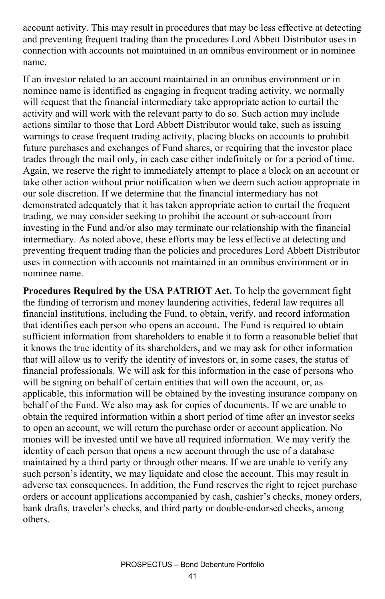account activity. This may result in procedures that may be less effective at detecting and preventing frequent trading than the procedures Lord Abbett Distributor uses in connection with accounts not maintained in an omnibus environment or in nominee name.

If an investor related to an account maintained in an omnibus environment or in nominee name is identified as engaging in frequent trading activity, we normally will request that the financial intermediary take appropriate action to curtail the activity and will work with the relevant party to do so. Such action may include actions similar to those that Lord Abbett Distributor would take, such as issuing warnings to cease frequent trading activity, placing blocks on accounts to prohibit future purchases and exchanges of Fund shares, or requiring that the investor place trades through the mail only, in each case either indefinitely or for a period of time. Again, we reserve the right to immediately attempt to place a block on an account or take other action without prior notification when we deem such action appropriate in our sole discretion. If we determine that the financial intermediary has not demonstrated adequately that it has taken appropriate action to curtail the frequent trading, we may consider seeking to prohibit the account or sub-account from investing in the Fund and/or also may terminate our relationship with the financial intermediary. As noted above, these efforts may be less effective at detecting and preventing frequent trading than the policies and procedures Lord Abbett Distributor uses in connection with accounts not maintained in an omnibus environment or in nominee name.

**Procedures Required by the USA PATRIOT Act.** To help the government fight the funding of terrorism and money laundering activities, federal law requires all financial institutions, including the Fund, to obtain, verify, and record information that identifies each person who opens an account. The Fund is required to obtain sufficient information from shareholders to enable it to form a reasonable belief that it knows the true identity of its shareholders, and we may ask for other information that will allow us to verify the identity of investors or, in some cases, the status of financial professionals. We will ask for this information in the case of persons who will be signing on behalf of certain entities that will own the account, or, as applicable, this information will be obtained by the investing insurance company on behalf of the Fund. We also may ask for copies of documents. If we are unable to obtain the required information within a short period of time after an investor seeks to open an account, we will return the purchase order or account application. No monies will be invested until we have all required information. We may verify the identity of each person that opens a new account through the use of a database maintained by a third party or through other means. If we are unable to verify any such person's identity, we may liquidate and close the account. This may result in adverse tax consequences. In addition, the Fund reserves the right to reject purchase orders or account applications accompanied by cash, cashier's checks, money orders, bank drafts, traveler's checks, and third party or double-endorsed checks, among others.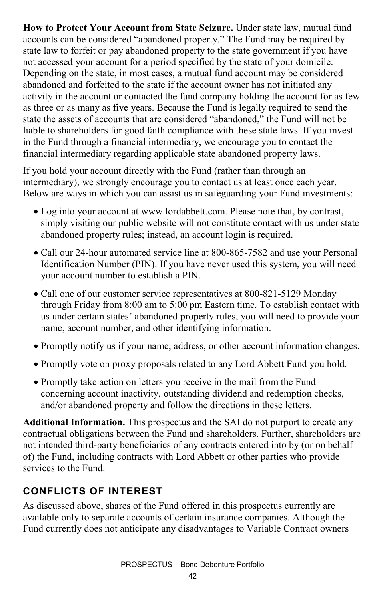**How to Protect Your Account from State Seizure.** Under state law, mutual fund accounts can be considered "abandoned property." The Fund may be required by state law to forfeit or pay abandoned property to the state government if you have not accessed your account for a period specified by the state of your domicile. Depending on the state, in most cases, a mutual fund account may be considered abandoned and forfeited to the state if the account owner has not initiated any activity in the account or contacted the fund company holding the account for as few as three or as many as five years. Because the Fund is legally required to send the state the assets of accounts that are considered "abandoned," the Fund will not be liable to shareholders for good faith compliance with these state laws. If you invest in the Fund through a financial intermediary, we encourage you to contact the financial intermediary regarding applicable state abandoned property laws.

If you hold your account directly with the Fund (rather than through an intermediary), we strongly encourage you to contact us at least once each year. Below are ways in which you can assist us in safeguarding your Fund investments:

- Log into your account at www.lordabbett.com. Please note that, by contrast, simply visiting our public website will not constitute contact with us under state abandoned property rules; instead, an account login is required.
- Call our 24-hour automated service line at 800-865-7582 and use your Personal Identification Number (PIN). If you have never used this system, you will need your account number to establish a PIN.
- Call one of our customer service representatives at 800-821-5129 Monday through Friday from 8:00 am to 5:00 pm Eastern time. To establish contact with us under certain states' abandoned property rules, you will need to provide your name, account number, and other identifying information.
- Promptly notify us if your name, address, or other account information changes.
- Promptly vote on proxy proposals related to any Lord Abbett Fund you hold.
- Promptly take action on letters you receive in the mail from the Fund concerning account inactivity, outstanding dividend and redemption checks, and/or abandoned property and follow the directions in these letters.

**Additional Information.** This prospectus and the SAI do not purport to create any contractual obligations between the Fund and shareholders. Further, shareholders are not intended third-party beneficiaries of any contracts entered into by (or on behalf of) the Fund, including contracts with Lord Abbett or other parties who provide services to the Fund.

## **CONFLICTS OF INTEREST**

As discussed above, shares of the Fund offered in this prospectus currently are available only to separate accounts of certain insurance companies. Although the Fund currently does not anticipate any disadvantages to Variable Contract owners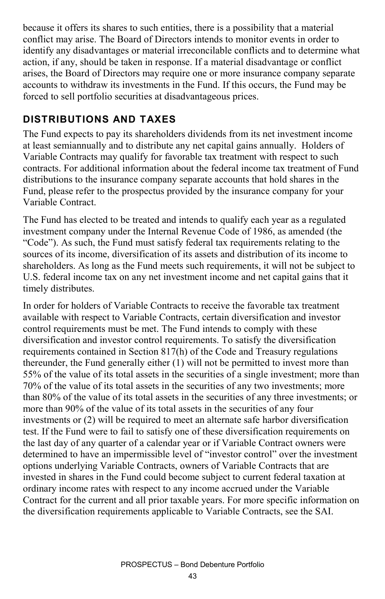because it offers its shares to such entities, there is a possibility that a material conflict may arise. The Board of Directors intends to monitor events in order to identify any disadvantages or material irreconcilable conflicts and to determine what action, if any, should be taken in response. If a material disadvantage or conflict arises, the Board of Directors may require one or more insurance company separate accounts to withdraw its investments in the Fund. If this occurs, the Fund may be forced to sell portfolio securities at disadvantageous prices.

#### **DISTRIBUTIONS AND TAXES**

The Fund expects to pay its shareholders dividends from its net investment income at least semiannually and to distribute any net capital gains annually. Holders of Variable Contracts may qualify for favorable tax treatment with respect to such contracts. For additional information about the federal income tax treatment of Fund distributions to the insurance company separate accounts that hold shares in the Fund, please refer to the prospectus provided by the insurance company for your Variable Contract.

The Fund has elected to be treated and intends to qualify each year as a regulated investment company under the Internal Revenue Code of 1986, as amended (the "Code"). As such, the Fund must satisfy federal tax requirements relating to the sources of its income, diversification of its assets and distribution of its income to shareholders. As long as the Fund meets such requirements, it will not be subject to U.S. federal income tax on any net investment income and net capital gains that it timely distributes.

In order for holders of Variable Contracts to receive the favorable tax treatment available with respect to Variable Contracts, certain diversification and investor control requirements must be met. The Fund intends to comply with these diversification and investor control requirements. To satisfy the diversification requirements contained in Section 817(h) of the Code and Treasury regulations thereunder, the Fund generally either (1) will not be permitted to invest more than 55% of the value of its total assets in the securities of a single investment; more than 70% of the value of its total assets in the securities of any two investments; more than 80% of the value of its total assets in the securities of any three investments; or more than 90% of the value of its total assets in the securities of any four investments or (2) will be required to meet an alternate safe harbor diversification test. If the Fund were to fail to satisfy one of these diversification requirements on the last day of any quarter of a calendar year or if Variable Contract owners were determined to have an impermissible level of "investor control" over the investment options underlying Variable Contracts, owners of Variable Contracts that are invested in shares in the Fund could become subject to current federal taxation at ordinary income rates with respect to any income accrued under the Variable Contract for the current and all prior taxable years. For more specific information on the diversification requirements applicable to Variable Contracts, see the SAI.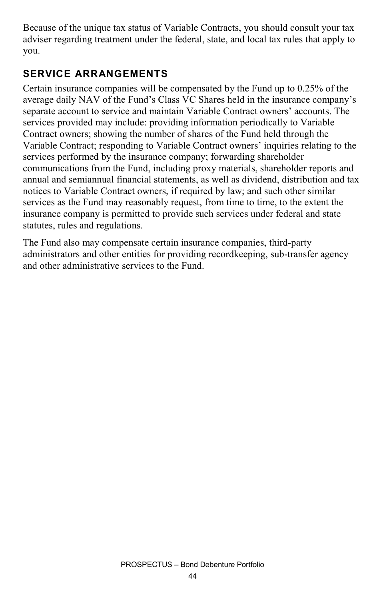Because of the unique tax status of Variable Contracts, you should consult your tax adviser regarding treatment under the federal, state, and local tax rules that apply to you.

#### **SERVICE ARRANGEMENTS**

Certain insurance companies will be compensated by the Fund up to 0.25% of the average daily NAV of the Fund's Class VC Shares held in the insurance company's separate account to service and maintain Variable Contract owners' accounts. The services provided may include: providing information periodically to Variable Contract owners; showing the number of shares of the Fund held through the Variable Contract; responding to Variable Contract owners' inquiries relating to the services performed by the insurance company; forwarding shareholder communications from the Fund, including proxy materials, shareholder reports and annual and semiannual financial statements, as well as dividend, distribution and tax notices to Variable Contract owners, if required by law; and such other similar services as the Fund may reasonably request, from time to time, to the extent the insurance company is permitted to provide such services under federal and state statutes, rules and regulations.

The Fund also may compensate certain insurance companies, third-party administrators and other entities for providing recordkeeping, sub-transfer agency and other administrative services to the Fund.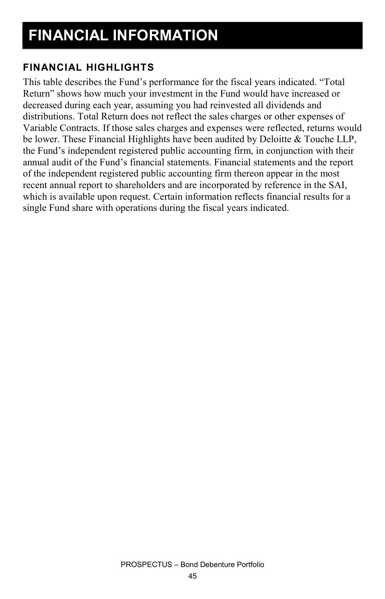#### **FINANCIAL HIGHLIGHTS**

This table describes the Fund's performance for the fiscal years indicated. "Total Return" shows how much your investment in the Fund would have increased or decreased during each year, assuming you had reinvested all dividends and distributions. Total Return does not reflect the sales charges or other expenses of Variable Contracts. If those sales charges and expenses were reflected, returns would be lower. These Financial Highlights have been audited by Deloitte & Touche LLP, the Fund's independent registered public accounting firm, in conjunction with their annual audit of the Fund's financial statements. Financial statements and the report of the independent registered public accounting firm thereon appear in the most recent annual report to shareholders and are incorporated by reference in the SAI, which is available upon request. Certain information reflects financial results for a single Fund share with operations during the fiscal years indicated.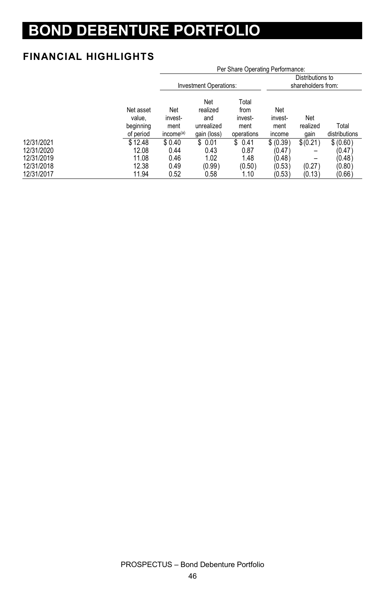# **BOND DEBENTURE PORTFOLIO**

#### **FINANCIAL HIGHLIGHTS**

|            |                                               | Per Share Operating Performance:                |                                                     |                                                |                                  |                                        |                        |
|------------|-----------------------------------------------|-------------------------------------------------|-----------------------------------------------------|------------------------------------------------|----------------------------------|----------------------------------------|------------------------|
|            |                                               |                                                 | Investment Operations:                              |                                                |                                  | Distributions to<br>shareholders from: |                        |
|            | Net asset<br>value.<br>beginning<br>of period | Net<br>invest-<br>ment<br>income <sup>(a)</sup> | Net<br>realized<br>and<br>unrealized<br>gain (loss) | Total<br>from<br>invest-<br>ment<br>operations | Net<br>invest-<br>ment<br>income | Net<br>realized<br>qain                | Total<br>distributions |
| 12/31/2021 | \$12.48                                       | \$0.40                                          | \$0.01                                              | \$0.41                                         | \$ (0.39)                        | \$(0.21)                               | \$ (0.60)              |
| 12/31/2020 | 12.08                                         | 0.44                                            | 0.43                                                | 0.87                                           | (0.47)                           |                                        | (0.47)                 |
| 12/31/2019 | 11.08                                         | 0.46                                            | 1.02                                                | 1.48                                           | (0.48)                           |                                        | (0.48)                 |
| 12/31/2018 | 12.38                                         | 0.49                                            | (0.99)                                              | (0.50)                                         | (0.53)                           | (0.27)                                 | (0.80)                 |
| 12/31/2017 | 11.94                                         | 0.52                                            | 0.58                                                | 1.10                                           | (0.53)                           | (0.13)                                 | (0.66)                 |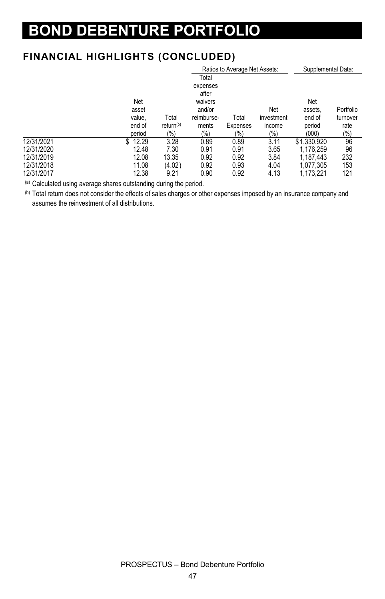# **BOND DEBENTURE PORTFOLIO**

#### **FINANCIAL HIGHLIGHTS (CONCLUDED)**

|            |            |                       |                   | Ratios to Average Net Assets: | Supplemental Data: |             |           |
|------------|------------|-----------------------|-------------------|-------------------------------|--------------------|-------------|-----------|
|            |            |                       | Total             |                               |                    |             |           |
|            |            |                       | expenses<br>after |                               |                    |             |           |
|            | Net        |                       | waivers           |                               |                    | Net         |           |
|            | asset      |                       | and/or            |                               | Net                | assets.     | Portfolio |
|            | value.     | Total                 | reimburse-        | Total                         | investment         | end of      | turnover  |
|            | end of     | return <sup>(b)</sup> | ments             | Expenses                      | income             | period      | rate      |
|            | period     | (%)                   | $(\% )$           | $(\% )$                       | (%)                | (000)       | (%)       |
| 12/31/2021 | 12.29<br>S | 3.28                  | 0.89              | 0.89                          | 3.11               | \$1,330,920 | 96        |
| 12/31/2020 | 12.48      | 7.30                  | 0.91              | 0.91                          | 3.65               | 1.176.259   | 96        |
| 12/31/2019 | 12.08      | 13.35                 | 0.92              | 0.92                          | 3.84               | 1.187.443   | 232       |
| 12/31/2018 | 11.08      | (4.02)                | 0.92              | 0.93                          | 4.04               | 1,077,305   | 153       |
| 12/31/2017 | 12.38      | 9.21                  | 0.90              | 0.92                          | 4.13               | 1.173.221   | 121       |

(a) Calculated using average shares outstanding during the period.

(b) Total return does not consider the effects of sales charges or other expenses imposed by an insurance company and assumes the reinvestment of all distributions.